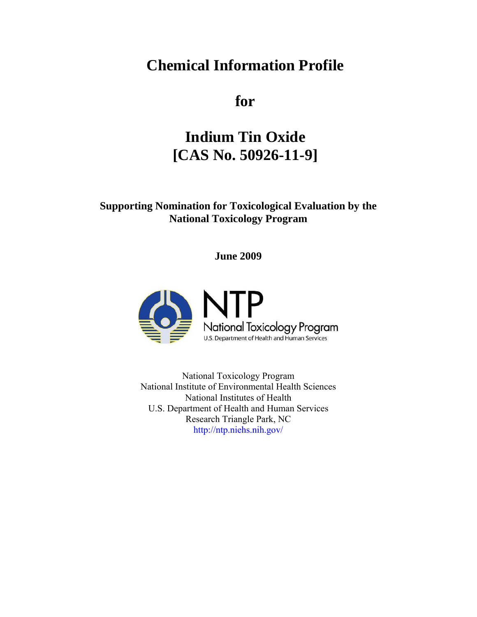# **Chemical Information Profile**

**for** 

# **Indium Tin Oxide [CAS No. 50926-11-9]**

# **Supporting Nomination for Toxicological Evaluation by the National Toxicology Program**

**June 2009** 



National Toxicology Program National Institute of Environmental Health Sciences National Institutes of Health U.S. Department of Health and Human Services Research Triangle Park, NC <http://ntp.niehs.nih.gov/>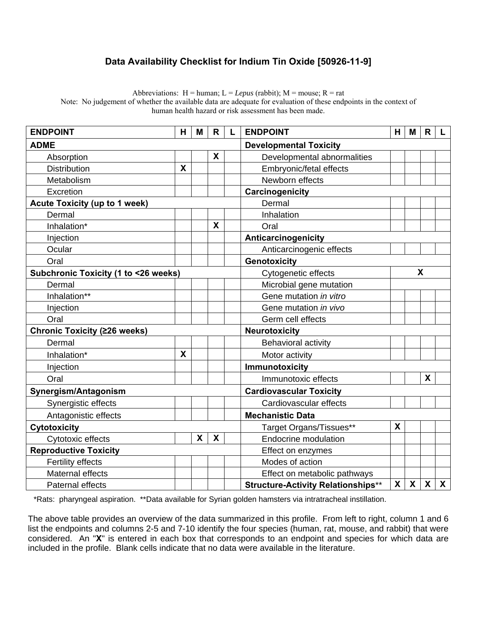# **Data Availability Checklist for Indium Tin Oxide [50926-11-9]**

Abbreviations:  $H =$  human;  $L = Lepus$  (rabbit);  $M =$  mouse;  $R =$  rat

Note: No judgement of whether the available data are adequate for evaluation of these endpoints in the context of human health hazard or risk assessment has been made.

| <b>ENDPOINT</b>                      | H | M                         | $\mathsf{R}$              | L                             | H.<br><b>ENDPOINT</b>                                    |  | M            | R | L |
|--------------------------------------|---|---------------------------|---------------------------|-------------------------------|----------------------------------------------------------|--|--------------|---|---|
| <b>ADME</b>                          |   |                           |                           | <b>Developmental Toxicity</b> |                                                          |  |              |   |   |
| Absorption                           |   |                           | X                         |                               | Developmental abnormalities                              |  |              |   |   |
| <b>Distribution</b>                  | X |                           |                           |                               | Embryonic/fetal effects                                  |  |              |   |   |
| Metabolism                           |   |                           |                           |                               | Newborn effects                                          |  |              |   |   |
| Excretion                            |   |                           |                           |                               | Carcinogenicity                                          |  |              |   |   |
| <b>Acute Toxicity (up to 1 week)</b> |   |                           | Dermal                    |                               |                                                          |  |              |   |   |
| Dermal                               |   |                           |                           |                               | Inhalation                                               |  |              |   |   |
| Inhalation*                          |   |                           | X                         |                               | Oral                                                     |  |              |   |   |
| Injection                            |   |                           | Anticarcinogenicity       |                               |                                                          |  |              |   |   |
| Ocular                               |   |                           |                           |                               | Anticarcinogenic effects                                 |  |              |   |   |
| Oral                                 |   |                           | Genotoxicity              |                               |                                                          |  |              |   |   |
| Subchronic Toxicity (1 to <26 weeks) |   |                           | X<br>Cytogenetic effects  |                               |                                                          |  |              |   |   |
| Dermal                               |   |                           |                           |                               | Microbial gene mutation                                  |  |              |   |   |
| Inhalation**                         |   |                           |                           |                               | Gene mutation in vitro                                   |  |              |   |   |
| Injection                            |   |                           |                           |                               | Gene mutation in vivo                                    |  |              |   |   |
| Oral                                 |   |                           |                           |                               | Germ cell effects                                        |  |              |   |   |
| <b>Chronic Toxicity (≥26 weeks)</b>  |   |                           | Neurotoxicity             |                               |                                                          |  |              |   |   |
| Dermal                               |   |                           |                           |                               | <b>Behavioral activity</b>                               |  |              |   |   |
| Inhalation*                          | X |                           |                           |                               | Motor activity                                           |  |              |   |   |
| Injection                            |   |                           |                           |                               | Immunotoxicity                                           |  |              |   |   |
| Oral                                 |   |                           |                           |                               | X<br>Immunotoxic effects                                 |  |              |   |   |
| Synergism/Antagonism                 |   |                           |                           |                               | <b>Cardiovascular Toxicity</b>                           |  |              |   |   |
| Synergistic effects                  |   |                           |                           |                               | Cardiovascular effects                                   |  |              |   |   |
| Antagonistic effects                 |   |                           |                           |                               | <b>Mechanistic Data</b>                                  |  |              |   |   |
| Cytotoxicity                         |   |                           |                           | Target Organs/Tissues**       | X                                                        |  |              |   |   |
| Cytotoxic effects                    |   | $\boldsymbol{\mathsf{X}}$ | $\boldsymbol{\mathsf{X}}$ |                               | <b>Endocrine modulation</b>                              |  |              |   |   |
| <b>Reproductive Toxicity</b>         |   |                           | Effect on enzymes         |                               |                                                          |  |              |   |   |
| <b>Fertility effects</b>             |   |                           |                           |                               | Modes of action                                          |  |              |   |   |
| Maternal effects                     |   |                           |                           |                               | Effect on metabolic pathways                             |  |              |   |   |
| <b>Paternal effects</b>              |   |                           |                           |                               | X<br>X<br>X<br><b>Structure-Activity Relationships**</b> |  | $\mathsf{x}$ |   |   |

\*Rats: pharyngeal aspiration. \*\*Data available for Syrian golden hamsters via intratracheal instillation.

The above table provides an overview of the data summarized in this profile. From left to right, column 1 and 6 list the endpoints and columns 2-5 and 7-10 identify the four species (human, rat, mouse, and rabbit) that were considered. An "**X**" is entered in each box that corresponds to an endpoint and species for which data are included in the profile. Blank cells indicate that no data were available in the literature.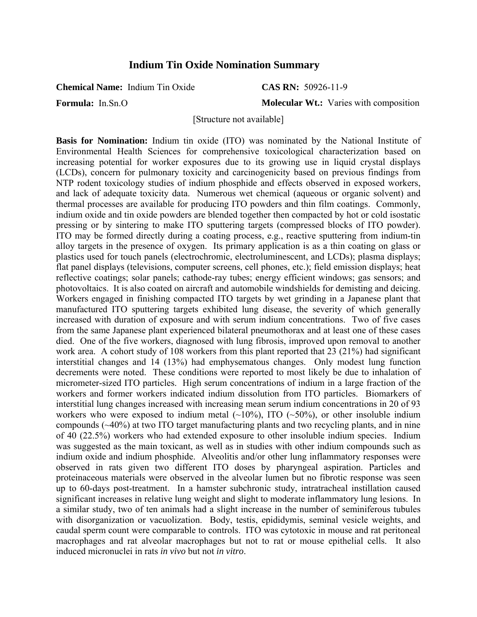# **Indium Tin Oxide Nomination Summary**

**Chemical Name:** Indium Tin Oxide

**Formula:** In.Sn.O

**CAS RN:** 50926-11-9

**Molecular Wt.:** Varies with composition

[Structure not available]

**Basis for Nomination:** Indium tin oxide (ITO) was nominated by the National Institute of Environmental Health Sciences for comprehensive toxicological characterization based on increasing potential for worker exposures due to its growing use in liquid crystal displays (LCDs), concern for pulmonary toxicity and carcinogenicity based on previous findings from NTP rodent toxicology studies of indium phosphide and effects observed in exposed workers, and lack of adequate toxicity data. Numerous wet chemical (aqueous or organic solvent) and thermal processes are available for producing ITO powders and thin film coatings. Commonly, indium oxide and tin oxide powders are blended together then compacted by hot or cold isostatic pressing or by sintering to make ITO sputtering targets (compressed blocks of ITO powder). ITO may be formed directly during a coating process, e.g., reactive sputtering from indium-tin alloy targets in the presence of oxygen. Its primary application is as a thin coating on glass or plastics used for touch panels (electrochromic, electroluminescent, and LCDs); plasma displays; flat panel displays (televisions, computer screens, cell phones, etc.); field emission displays; heat reflective coatings; solar panels; cathode-ray tubes; energy efficient windows; gas sensors; and photovoltaics. It is also coated on aircraft and automobile windshields for demisting and deicing. Workers engaged in finishing compacted ITO targets by wet grinding in a Japanese plant that manufactured ITO sputtering targets exhibited lung disease, the severity of which generally increased with duration of exposure and with serum indium concentrations. Two of five cases from the same Japanese plant experienced bilateral pneumothorax and at least one of these cases died. One of the five workers, diagnosed with lung fibrosis, improved upon removal to another work area. A cohort study of 108 workers from this plant reported that 23 (21%) had significant interstitial changes and 14 (13%) had emphysematous changes. Only modest lung function decrements were noted. These conditions were reported to most likely be due to inhalation of micrometer-sized ITO particles. High serum concentrations of indium in a large fraction of the workers and former workers indicated indium dissolution from ITO particles. Biomarkers of interstitial lung changes increased with increasing mean serum indium concentrations in 20 of 93 workers who were exposed to indium metal  $(\sim 10\%)$ , ITO  $(\sim 50\%)$ , or other insoluble indium compounds (~40%) at two ITO target manufacturing plants and two recycling plants, and in nine of 40 (22.5%) workers who had extended exposure to other insoluble indium species. Indium was suggested as the main toxicant, as well as in studies with other indium compounds such as indium oxide and indium phosphide. Alveolitis and/or other lung inflammatory responses were observed in rats given two different ITO doses by pharyngeal aspiration. Particles and proteinaceous materials were observed in the alveolar lumen but no fibrotic response was seen up to 60-days post-treatment. In a hamster subchronic study, intratracheal instillation caused significant increases in relative lung weight and slight to moderate inflammatory lung lesions. In a similar study, two of ten animals had a slight increase in the number of seminiferous tubules with disorganization or vacuolization. Body, testis, epididymis, seminal vesicle weights, and caudal sperm count were comparable to controls. ITO was cytotoxic in mouse and rat peritoneal macrophages and rat alveolar macrophages but not to rat or mouse epithelial cells. It also induced micronuclei in rats *in vivo* but not *in vitro*.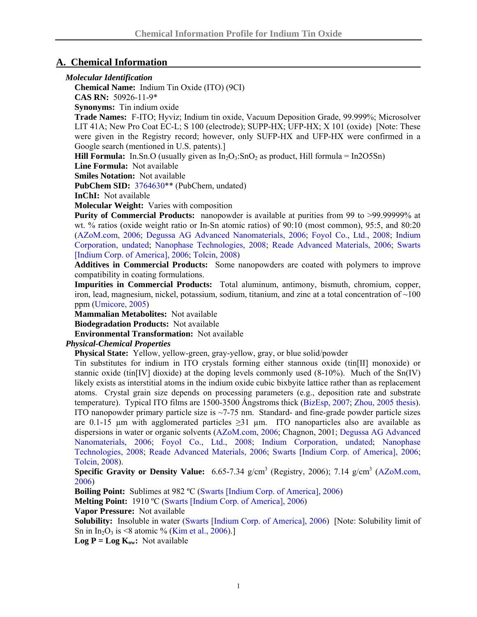## **A. Chemical Information**

#### *Molecular Identification*

**Chemical Name:** Indium Tin Oxide (ITO) (9CI) **CAS RN:** 50926-11-9\*

**Synonyms:** Tin indium oxide

**Trade Names:** F-ITO; Hyviz; Indium tin oxide, Vacuum Deposition Grade, 99.999%; Microsolver LIT 41A; New Pro Coat EC-L; S 100 (electrode); SUPP-HX; UFP-HX; X 101 (oxide) [Note: These were given in the Registry record; however, only SUFP-HX and UFP-HX were confirmed in a Google search (mentioned in U.S. patents).]

**Hill Formula:** In.Sn.O (usually given as  $In_2O_3$ :SnO<sub>2</sub> as product, Hill formula = In2O5Sn)

**Line Formula:** Not available

**Smiles Notation:** Not available

**PubChem SID:** [3764630\\*](http://pubchem.ncbi.nlm.nih.gov/summary/summary.cgi?sid=3764630#Synonyms)\* (PubChem, undated)

**InChI:** Not available

**Molecular Weight:** Varies with composition

**Purity of Commercial Products:** nanopowder is available at purities from 99 to >99.99999% at wt. % ratios (oxide weight ratio or In-Sn atomic ratios) of 90:10 (most common), 95:5, and 80:20 [\(AZoM.com, 2006](http://www.azom.com/details.asp?ArticleID=2349); [Degussa AG Advanced Nanomaterials, 2006;](https://www.nano-indiumtinoxide.com/webapps/adnano.nsf/download/9A069C57483742D4C125719A005003F4/$File/pi%20adnano%20ITO%2008%202006.pdf) [Foyol Co., Ltd., 2008;](http://www.fuzing.com/vli/002118742273/ITO-targets-F_ST_2002-F_EM_1001-F_NM_1001-) [Indium](http://www.indium.com/documents/pds/97550.pdf)  [Corporation, undated](http://www.indium.com/documents/pds/97550.pdf); [Nanophase Technologies, 2008;](http://www.nanophase.com/catalog/item.asp?ITEM_ID=35&DEPARTMENT_ID=38) [Reade Advanced Materials, 2006](http://www.reade.com/index.php?option=com_content&task=view&id=262&Itemid=10); [Swarts](http://www.indium.com/documents/msds/IB011.pdf)  [\[Indium Corp. of America\], 2006](http://www.indium.com/documents/msds/IB011.pdf); [Tolcin, 2008](http://minerals.usgs.gov/minerals/pubs/commodity/indium/myb1-2006-indiu.pdf))

**Additives in Commercial Products:** Some nanopowders are coated with polymers to improve compatibility in coating formulations.

**Impurities in Commercial Products:** Total aluminum, antimony, bismuth, chromium, copper, iron, lead, magnesium, nickel, potassium, sodium, titanium, and zinc at a total concentration of ~100 ppm ([Umicore, 2005\)](http://www.thinfilmproducts.umicore.com/pdf/indium_tin_oxide_ITO.pdf)

**Mammalian Metabolites:** Not available

**Biodegradation Products:** Not available

**Environmental Transformation:** Not available

#### *Physical-Chemical Properties*

**Physical State:** Yellow, yellow-green, gray-yellow, gray, or blue solid/powder

Tin substitutes for indium in ITO crystals forming either stannous oxide (tin $[II]$  monoxide) or stannic oxide (tin[IV] dioxide) at the doping levels commonly used (8-10%). Much of the Sn(IV) likely exists as interstitial atoms in the indium oxide cubic bixbyite lattice rather than as replacement atoms. Crystal grain size depends on processing parameters (e.g., deposition rate and substrate temperature). Typical ITO films are  $1500-3500$  Ångstroms thick ([BizEsp, 2007](http://www.bizesp.com/uploads/ITO_FEATURE_APRIL07.pdf); [Zhou, 2005 thesis\)](http://www.rit.edu/kgcoe/ue/thesisguidelinespages/2006_Jianming_Zhou.pdf). ITO nanopowder primary particle size is ~7-75 nm. Standard- and fine-grade powder particle sizes are 0.1-15  $\mu$ m with agglomerated particles  $\geq$ 31  $\mu$ m. ITO nanoparticles also are available as dispersions in water or organic solvents ([AZoM.com, 2006](http://www.azom.com/details.asp?ArticleID=2349); Chagnon, 2001; [Degussa AG Advanced](https://www.nano-indiumtinoxide.com/webapps/adnano.nsf/download/9A069C57483742D4C125719A005003F4/$File/pi%20adnano%20ITO%2008%202006.pdf)  [Nanomaterials, 2006;](https://www.nano-indiumtinoxide.com/webapps/adnano.nsf/download/9A069C57483742D4C125719A005003F4/$File/pi%20adnano%20ITO%2008%202006.pdf) [Foyol Co., Ltd., 2008;](http://www.fuzing.com/vli/002118742273/ITO-targets-F_ST_2002-F_EM_1001-F_NM_1001-) [Indium Corporation, undated](http://www.indium.com/documents/pds/97550.pdf); [Nanophase](http://www.nanophase.com/catalog/item.asp?ITEM_ID=35&DEPARTMENT_ID=38)  [Technologies, 2008](http://www.nanophase.com/catalog/item.asp?ITEM_ID=35&DEPARTMENT_ID=38); [Reade Advanced Materials, 2006;](http://www.reade.com/index.php?option=com_content&task=view&id=262&Itemid=10) [Swarts \[Indium Corp. of America\], 2006;](http://www.indium.com/documents/msds/IB011.pdf) [Tolcin, 2008](http://minerals.usgs.gov/minerals/pubs/commodity/indium/myb1-2006-indiu.pdf)).

**Specific Gravity or Density Value:** 6.65-7.34 g/cm<sup>3</sup> (Registry, 2006); 7.14 g/cm<sup>3</sup> (AZoM.com, [2006\)](http://www.azom.com/details.asp?ArticleID=2349)

**Boiling Point:** Sublimes at 982 °C [\(Swarts \[Indium Corp. of America\], 2006\)](http://www.indium.com/documents/msds/IB011.pdf)

**Melting Point:** 1910 ºC [\(Swarts \[Indium Corp. of America\], 2006\)](http://www.indium.com/documents/msds/IB011.pdf)

**Vapor Pressure:** Not available

**Solubility:** Insoluble in water ([Swarts \[Indium Corp. of America\], 2006](http://www.indium.com/documents/msds/IB011.pdf)) [Note: Solubility limit of Sn in In<sub>2</sub>O<sub>3</sub> is <8 atomic % [\(Kim et al., 2006](http://yu.ac.kr/%7Ehyulee/papers/ITO-Sn.pdf)).]

**Log P** =  $\text{Log } K_{ow}:$  Not available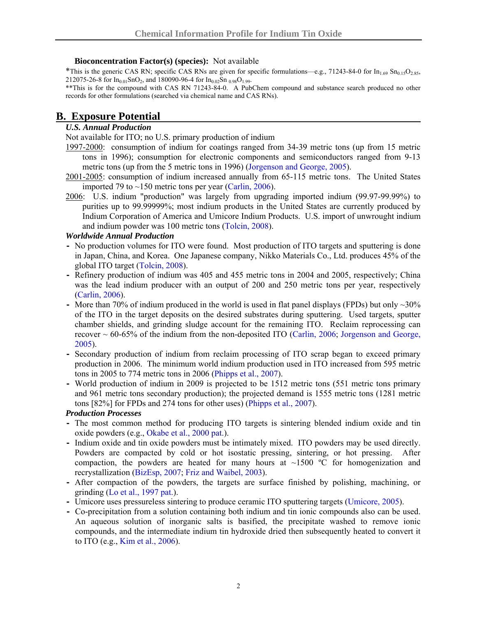#### **Bioconcentration Factor(s) (species):** Not available

<sup>\*</sup>This is the generic CAS RN; specific CAS RNs are given for specific formulations—e.g., 71243-84-0 for In<sub>1.69</sub> Sn<sub>0.15</sub>O<sub>2.85</sub>, 212075-26-8 for  $In_{0.01}SnO_2$ , and 180090-96-4 for  $In_{0.02}Sn_{0.98}O_{1.99}$ .

\*\*This is for the compound with CAS RN 71243-84-0. A PubChem compound and substance search produced no other records for other formulations (searched via chemical name and CAS RNs).

# **B. Exposure Potential**

#### *U.S. Annual Production*

Not available for ITO; no U.S. primary production of indium

- 1997-2000: consumption of indium for coatings ranged from 34-39 metric tons (up from 15 metric tons in 1996); consumption for electronic components and semiconductors ranged from 9-13 metric tons (up from the 5 metric tons in 1996) [\(Jorgenson and George, 2005\)](http://pubs.usgs.gov/of/2004/1300/2004-1300.pdf).
- 2001-2005: consumption of indium increased annually from 65-115 metric tons. The United States imported 79 to  $\sim$ 150 metric tons per year ([Carlin, 2006\)](http://minerals.usgs.gov/minerals/pubs/commodity/indium/indiumcs06.pdf).
- 2006: U.S. indium "production" was largely from upgrading imported indium (99.97-99.99%) to purities up to 99.99999%; most indium products in the United States are currently produced by Indium Corporation of America and Umicore Indium Products. U.S. import of unwrought indium and indium powder was 100 metric tons ([Tolcin, 2008\)](http://minerals.usgs.gov/minerals/pubs/commodity/indium/myb1-2006-indiu.pdf).

#### *Worldwide Annual Production*

- **-** No production volumes for ITO were found. Most production of ITO targets and sputtering is done in Japan, China, and Korea. One Japanese company, Nikko Materials Co., Ltd. produces 45% of the global ITO target ([Tolcin, 2008](http://minerals.usgs.gov/minerals/pubs/commodity/indium/myb1-2006-indiu.pdf)).
- **-** Refinery production of indium was 405 and 455 metric tons in 2004 and 2005, respectively; China was the lead indium producer with an output of 200 and 250 metric tons per year, respectively ([Carlin, 2006\)](http://minerals.usgs.gov/minerals/pubs/commodity/indium/indiumcs06.pdf).
- **-** More than 70% of indium produced in the world is used in flat panel displays (FPDs) but only ~30% of the ITO in the target deposits on the desired substrates during sputtering. Used targets, sputter chamber shields, and grinding sludge account for the remaining ITO. Reclaim reprocessing can recover  $\sim 60$ -65% of the indium from the non-deposited ITO ([Carlin, 2006](http://minerals.usgs.gov/minerals/pubs/commodity/indium/indiumcs06.pdf); Jorgenson and George, [2005](http://pubs.usgs.gov/of/2004/1300/2004-1300.pdf)).
- **-** Secondary production of indium from reclaim processing of ITO scrap began to exceed primary production in 2006. The minimum world indium production used in ITO increased from 595 metric tons in 2005 to 774 metric tons in 2006 [\(Phipps et al., 2007\)](http://www.indium.com/_dynamo/download.php?docid=552).
- **-** World production of indium in 2009 is projected to be 1512 metric tons (551 metric tons primary and 961 metric tons secondary production); the projected demand is 1555 metric tons (1281 metric tons [82%] for FPDs and 274 tons for other uses) [\(Phipps et al., 2007\)](http://www.indium.com/_dynamo/download.php?docid=552).

#### *Production Processes*

- **-** The most common method for producing ITO targets is sintering blended indium oxide and tin oxide powders (e.g., [Okabe et al., 2000 pat.\)](http://www.freepatentsonline.com/6099982.html).
- **-** Indium oxide and tin oxide powders must be intimately mixed. ITO powders may be used directly. Powders are compacted by cold or hot isostatic pressing, sintering, or hot pressing. After compaction, the powders are heated for many hours at  $\sim$ 1500 °C for homogenization and recrystallization [\(BizEsp, 2007;](http://www.bizesp.com/uploads/ITO_FEATURE_APRIL07.pdf) [Friz and Waibel, 2003\)](http://www.thinfilmproducts.umicore.com/library/pdf/article_coating_materials_12june03.pdf).
- **-** After compaction of the powders, the targets are surface finished by polishing, machining, or grinding ([Lo et al., 1997 pat.\)](http://patft.uspto.gov/netacgi/nph-Parser?Sect2=PTO1&Sect2=HITOFF&p=1&u=%2Fnetahtml%2FPTO%2Fsearch-bool.html&r=1&f=G&l=50&d=PALL&RefSrch=yes&Query=PN%2F5656216).
- **-** Umicore uses pressureless sintering to produce ceramic ITO sputtering targets ([Umicore, 2005\)](http://www.thinfilmproducts.umicore.com/pdf/indium_tin_oxide_ITO.pdf).
- **-** Co-precipitation from a solution containing both indium and tin ionic compounds also can be used. An aqueous solution of inorganic salts is basified, the precipitate washed to remove ionic compounds, and the intermediate indium tin hydroxide dried then subsequently heated to convert it to ITO (e.g., [Kim et al., 2006](http://yu.ac.kr/%7Ehyulee/papers/ITO-Sn.pdf)).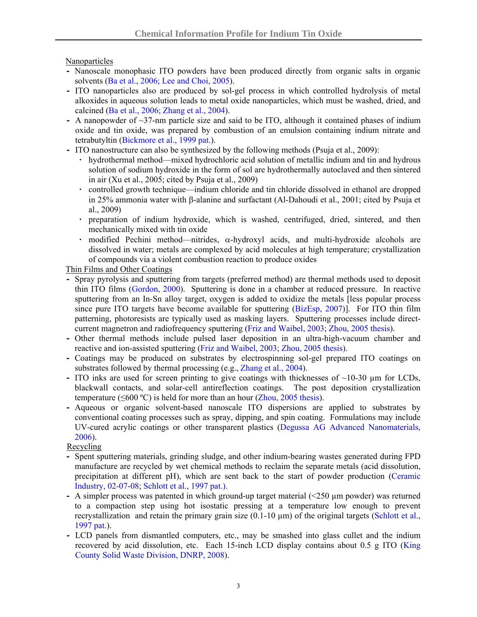Nanoparticles

- **-** Nanoscale monophasic ITO powders have been produced directly from organic salts in organic solvents [\(Ba et al., 2006](http://pubs.acs.org/cgi-bin/abstract.cgi/cmatex/2006/18/i12/abs/cm060548q.html); [Lee and Choi, 2005\)](http://www.sciencedirect.com/science?_ob=ArticleURL&_udi=B6TX0-4DTKY19-1&_user=10&_rdoc=1&_fmt=&_orig=search&_sort=d&view=c&_acct=C000050221&_version=1&_urlVersion=0&_userid=10&md5=997cfcfa20d6cad188042e585e19bc08).
- **-** ITO nanoparticles also are produced by sol-gel process in which controlled hydrolysis of metal alkoxides in aqueous solution leads to metal oxide nanoparticles, which must be washed, dried, and calcined ([Ba et al., 2006;](http://pubs.acs.org/cgi-bin/abstract.cgi/cmatex/2006/18/i12/abs/cm060548q.html) [Zhang et al., 2004\)](http://jcpr.kbs-lab.co.kr/english/journal/JCPR/vol5num3/208-213.pdf).
- **-** A nanopowder of ~37-nm particle size and said to be ITO, although it contained phases of indium oxide and tin oxide, was prepared by combustion of an emulsion containing indium nitrate and tetrabutyltin ([Bickmore et al., 1999 pat.\)](http://www.freepatentsonline.com/5984997.html).
- **-** ITO nanostructure can also be synthesized by the following methods [\(Psuja et al., 2009](http://www.iop.org/EJ/article/1742-6596/146/1/012033/jpconf9_146_012033.pdf?request-id=f95a1946-d236-4377-96c4-35458ca19627)):
	- **·** hydrothermal method—mixed hydrochloric acid solution of metallic indium and tin and hydrous solution of sodium hydroxide in the form of sol are hydrothermally autoclaved and then sintered in air (Xu et al., 2005; cited by [Psuja et al., 2009](http://www.iop.org/EJ/article/1742-6596/146/1/012033/jpconf9_146_012033.pdf?request-id=f95a1946-d236-4377-96c4-35458ca19627))
	- **·** controlled growth technique—indium chloride and tin chloride dissolved in ethanol are dropped in 25% ammonia water with β-alanine and surfactant (Al-Dahoudi et al., 2001; cited by [Psuja et](http://www.iop.org/EJ/article/1742-6596/146/1/012033/jpconf9_146_012033.pdf?request-id=f95a1946-d236-4377-96c4-35458ca19627)  [al., 2009\)](http://www.iop.org/EJ/article/1742-6596/146/1/012033/jpconf9_146_012033.pdf?request-id=f95a1946-d236-4377-96c4-35458ca19627)
	- **·** preparation of indium hydroxide, which is washed, centrifuged, dried, sintered, and then mechanically mixed with tin oxide
	- **·** modified Pechini method—nitrides, α-hydroxyl acids, and multi-hydroxide alcohols are dissolved in water; metals are complexed by acid molecules at high temperature; crystallization of compounds via a violent combustion reaction to produce oxides

Thin Films and Other Coatings

- **-** Spray pyrolysis and sputtering from targets (preferred method) are thermal methods used to deposit thin ITO films [\(Gordon, 2000\)](http://lucy.mrs.org/membership/preview/aug2000bull/Gordon.pdf). Sputtering is done in a chamber at reduced pressure. In reactive sputtering from an In-Sn alloy target, oxygen is added to oxidize the metals [less popular process since pure ITO targets have become available for sputtering ([BizEsp, 2007\)](http://www.bizesp.com/uploads/ITO_FEATURE_APRIL07.pdf)]. For ITO thin film patterning, photoresists are typically used as masking layers. Sputtering processes include directcurrent magnetron and radiofrequency sputtering [\(Friz and Waibel, 2003](http://www.thinfilmproducts.umicore.com/library/pdf/article_coating_materials_12june03.pdf); [Zhou, 2005 thesis\)](http://www.rit.edu/kgcoe/ue/thesisguidelinespages/2006_Jianming_Zhou.pdf).
- **-** Other thermal methods include pulsed laser deposition in an ultra-high-vacuum chamber and reactive and ion-assisted sputtering [\(Friz and Waibel, 2003;](http://www.thinfilmproducts.umicore.com/library/pdf/article_coating_materials_12june03.pdf) [Zhou, 2005 thesis\)](http://www.rit.edu/kgcoe/ue/thesisguidelinespages/2006_Jianming_Zhou.pdf).
- **-** Coatings may be produced on substrates by electrospinning sol-gel prepared ITO coatings on substrates followed by thermal processing (e.g., [Zhang et al., 2004\)](http://jcpr.kbs-lab.co.kr/english/journal/JCPR/vol5num3/208-213.pdf).
- **-** ITO inks are used for screen printing to give coatings with thicknesses of ~10-30 µm for LCDs, blackwall contacts, and solar-cell antireflection coatings. The post deposition crystallization temperature ( $\leq 600$  °C) is held for more than an hour [\(Zhou, 2005 thesis\)](http://www.rit.edu/kgcoe/ue/thesisguidelinespages/2006_Jianming_Zhou.pdf).
- **-** Aqueous or organic solvent-based nanoscale ITO dispersions are applied to substrates by conventional coating processes such as spray, dipping, and spin coating. Formulations may include UV-cured acrylic coatings or other transparent plastics ([Degussa AG Advanced Nanomaterials,](https://www.nano-indiumtinoxide.com/webapps/adnano.nsf/download/9A069C57483742D4C125719A005003F4/$File/pi%20adnano%20ITO%2008%202006.pdf)  [2006](https://www.nano-indiumtinoxide.com/webapps/adnano.nsf/download/9A069C57483742D4C125719A005003F4/$File/pi%20adnano%20ITO%2008%202006.pdf)).

Recycling

- **-** Spent sputtering materials, grinding sludge, and other indium-bearing wastes generated during FPD manufacture are recycled by wet chemical methods to reclaim the separate metals (acid dissolution, precipitation at different pH), which are sent back to the start of powder production ([Ceramic](http://www.ceramicindustry.com/Articles/Industry_News/BNP_GUID_9-5-2006_A_10000000000000253096)  [Industry, 02-07-08;](http://www.ceramicindustry.com/Articles/Industry_News/BNP_GUID_9-5-2006_A_10000000000000253096) [Schlott et al., 1997 pat.](http://www.patentstorm.us/patents/5660599/fulltext.html)).
- **-** A simpler process was patented in which ground-up target material (<250 µm powder) was returned to a compaction step using hot isostatic pressing at a temperature low enough to prevent recrystallization and retain the primary grain size  $(0.1-10 \mu m)$  of the original targets (Schlott et al., [1997 pat.\)](http://www.patentstorm.us/patents/5660599/fulltext.html).
- **-** LCD panels from dismantled computers, etc., may be smashed into glass cullet and the indium recovered by acid dissolution, etc. Each 15-inch LCD display contains about 0.5 g ITO ([King](http://www.metrokc.gov/dnrp/swd/takeitback/electronics/documents/FPDReport.pdf)  [County Solid Waste Division, DNRP, 2008](http://www.metrokc.gov/dnrp/swd/takeitback/electronics/documents/FPDReport.pdf)).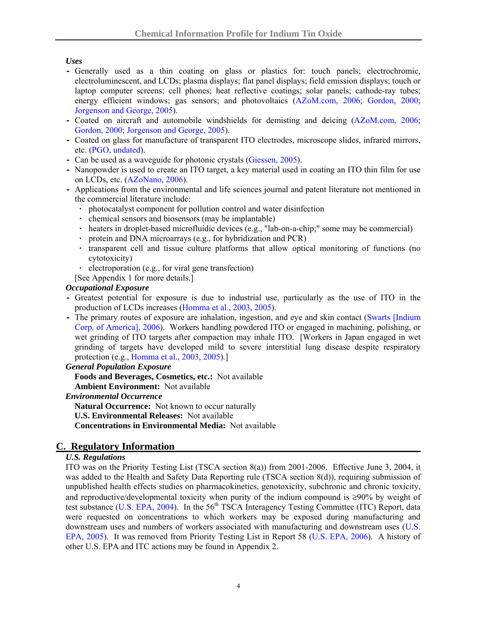## *Uses*

- **-** Generally used as a thin coating on glass or plastics for: touch panels; electrochromic, electroluminescent, and LCDs; plasma displays; flat panel displays; field emission displays; touch or laptop computer screens; cell phones; heat reflective coatings; solar panels; cathode-ray tubes; energy efficient windows; gas sensors; and photovoltaics ([AZoM.com, 2006;](http://www.azom.com/details.asp?ArticleID=2349) [Gordon, 2000;](http://lucy.mrs.org/membership/preview/aug2000bull/Gordon.pdf) [Jorgenson and George, 2005\)](http://pubs.usgs.gov/of/2004/1300/2004-1300.pdf).
- **-** Coated on aircraft and automobile windshields for demisting and deicing ([AZoM.com, 2006](http://www.azom.com/details.asp?ArticleID=2349); [Gordon, 2000](http://lucy.mrs.org/membership/preview/aug2000bull/Gordon.pdf); [Jorgenson and George, 2005\)](http://pubs.usgs.gov/of/2004/1300/2004-1300.pdf).
- **-** Coated on glass for manufacture of transparent ITO electrodes, microscope slides, infrared mirrors, etc. ([PGO, undated](http://www.pgo-online.com/intl/katalog/ito.html)).
- **-** Can be used as a waveguide for photonic crystals [\(Giessen, 2005\)](http://www.pi4.uni-stuttgart.de/NeueSeite/index.html?research/photoniccrystals.html).
- **-** Nanopowder is used to create an ITO target, a key material used in coating an ITO thin film for use on LCDs, etc. ([AZoNano, 2006\)](http://www.azonano.com/details.asp?ArticleID=1020).
- **-** Applications from the environmental and life sciences journal and patent literature not mentioned in the commercial literature include:
	- **·** photocatalyst component for pollution control and water disinfection
	- **·** chemical sensors and biosensors (may be implantable)
	- **·** heaters in droplet-based microfluidic devices (e.g., "lab-on-a-chip;" some may be commercial)
	- **·** protein and DNA microarrays (e.g., for hybridization and PCR)
	- **·** transparent cell and tissue culture platforms that allow optical monitoring of functions (no cytotoxicity)
	- **·** electroporation (e.g., for viral gene transfection)
	- [See Appendix 1 for more details.]

## *Occupational Exposure*

- **-** Greatest potential for exposure is due to industrial use, particularly as the use of ITO in the production of LCDs increases [\(Homma et al., 2003](http://www.jstage.jst.go.jp/article/joh/45/3/137/_pdf), [2005\)](http://erj.ersjournals.com/cgi/reprint/25/1/200).
- **-** The primary routes of exposure are inhalation, ingestion, and eye and skin contact [\(Swarts \[Indium](http://www.indium.com/documents/msds/IB011.pdf)  [Corp. of America\], 2006](http://www.indium.com/documents/msds/IB011.pdf)). Workers handling powdered ITO or engaged in machining, polishing, or wet grinding of ITO targets after compaction may inhale ITO. [Workers in Japan engaged in wet grinding of targets have developed mild to severe interstitial lung disease despite respiratory protection (e.g., [Homma et al., 2003](http://www.jstage.jst.go.jp/article/joh/45/3/137/_pdf), [2005\)](http://erj.ersjournals.com/cgi/reprint/25/1/200).]

#### *General Population Exposure*

**Foods and Beverages, Cosmetics, etc.:** Not available

**Ambient Environment:** Not available

#### *Environmental Occurrence*

**Natural Occurrence:** Not known to occur naturally

**U.S. Environmental Releases:** Not available

**Concentrations in Environmental Media:** Not available

# **C. Regulatory Information**

#### *U.S. Regulations*

ITO was on the Priority Testing List (TSCA section 8(a)) from 2001-2006. Effective June 3, 2004, it was added to the Health and Safety Data Reporting rule (TSCA section 8(d)), requiring submission of unpublished health effects studies on pharmacokinetics, genotoxicity, subchronic and chronic toxicity, and reproductive/developmental toxicity when purity of the indium compound is ≥90% by weight of test substance [\(U.S. EPA, 2004](http://www.epa.gov/EPA-TOX/2004/May/Day-04/t9875.htm)). In the  $56<sup>th</sup> TSCA$  Interagency Testing Committee (ITC) Report, data were requested on concentrations to which workers may be exposed during manufacturing and downstream uses and numbers of workers associated with manufacturing and downstream uses [\(U.S.](http://www.epa.gov/fedrgstr/EPA-TOX/2005/October/Day-24/t21197.pdf)  [EPA, 2005](http://www.epa.gov/fedrgstr/EPA-TOX/2005/October/Day-24/t21197.pdf)). It was removed from Priority Testing List in Report 58 ([U.S. EPA, 2006](http://www.epa.gov/EPA-TOX/2006/July/Day-11/t6126.htm)). A history of other U.S. EPA and ITC actions may be found in Appendix 2.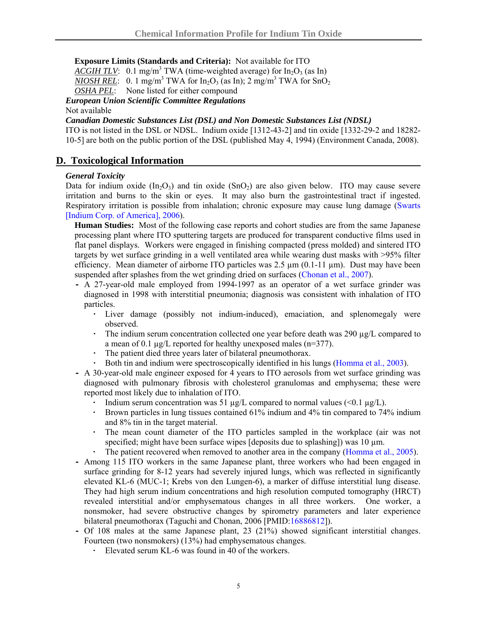#### **Exposure Limits (Standards and Criteria):** Not available for ITO

 $\overline{ACGIH}$  TLV: 0.1 mg/m<sup>3</sup> TWA (time-weighted average) for  $In_2O_3$  (as In)

*NIOSH REL*: 0. 1 mg/m<sup>3</sup> TWA for  $In_2O_3$  (as In); 2 mg/m<sup>3</sup> TWA for  $SnO_2$ 

*OSHA PEL*: None listed for either compound

*European Union Scientific Committee Regulations* 

#### Not available

#### *Canadian Domestic Substances List (DSL) and Non Domestic Substances List (NDSL)*

ITO is not listed in the DSL or NDSL. Indium oxide [1312-43-2] and tin oxide [1332-29-2 and 18282- 10-5] are both on the public portion of the DSL (published May 4, 1994) (Environment Canada, 2008).

## **D. Toxicological Information**

#### *General Toxicity*

Data for indium oxide  $(In_2O_3)$  and tin oxide  $(SnO_2)$  are also given below. ITO may cause severe irritation and burns to the skin or eyes. It may also burn the gastrointestinal tract if ingested. Respiratory irritation is possible from inhalation; chronic exposure may cause lung damage ([Swarts](http://www.indium.com/documents/msds/IB011.pdf)  [\[Indium Corp. of America\], 2006\)](http://www.indium.com/documents/msds/IB011.pdf).

**Human Studies:** Most of the following case reports and cohort studies are from the same Japanese processing plant where ITO sputtering targets are produced for transparent conductive films used in flat panel displays. Workers were engaged in finishing compacted (press molded) and sintered ITO targets by wet surface grinding in a well ventilated area while wearing dust masks with >95% filter efficiency. Mean diameter of airborne ITO particles was  $2.5 \mu m (0.1-11 \mu m)$ . Dust may have been suspended after splashes from the wet grinding dried on surfaces [\(Chonan et al., 2007\)](http://erj.ersjournals.com/cgi/reprint/29/2/317).

- **-** A 27-year-old male employed from 1994-1997 as an operator of a wet surface grinder was diagnosed in 1998 with interstitial pneumonia; diagnosis was consistent with inhalation of ITO particles.
	- **·** Liver damage (possibly not indium-induced), emaciation, and splenomegaly were observed.
	- **·** The indium serum concentration collected one year before death was 290 µg/L compared to a mean of 0.1 µg/L reported for healthy unexposed males (n=377).
	- **·** The patient died three years later of bilateral pneumothorax.
	- **·** Both tin and indium were spectroscopically identified in his lungs [\(Homma et al., 2003](http://www.jstage.jst.go.jp/article/joh/45/3/137/_pdf)).
- **-** A 30-year-old male engineer exposed for 4 years to ITO aerosols from wet surface grinding was diagnosed with pulmonary fibrosis with cholesterol granulomas and emphysema; these were reported most likely due to inhalation of ITO.
	- Indium serum concentration was 51  $\mu$ g/L compared to normal values (<0.1  $\mu$ g/L).
	- **·** Brown particles in lung tissues contained 61% indium and 4% tin compared to 74% indium and 8% tin in the target material.
	- **·** The mean count diameter of the ITO particles sampled in the workplace (air was not specified; might have been surface wipes [deposits due to splashing]) was 10  $\mu$ m.
	- **·** The patient recovered when removed to another area in the company ([Homma et al., 2005\)](http://erj.ersjournals.com/cgi/reprint/25/1/200).
- **-** Among 115 ITO workers in the same Japanese plant, three workers who had been engaged in surface grinding for 8-12 years had severely injured lungs, which was reflected in significantly elevated KL-6 (MUC-1; Krebs von den Lungen-6), a marker of diffuse interstitial lung disease. They had high serum indium concentrations and high resolution computed tomography (HRCT) revealed interstitial and/or emphysematous changes in all three workers. One worker, a nonsmoker, had severe obstructive changes by spirometry parameters and later experience bilateral pneumothorax (Taguchi and Chonan, 2006 [PMID:[16886812\]](http://www.ncbi.nlm.nih.gov/sites/entrez?orig_db=PubMed&db=pubmed&cmd=Search&TransSchema=title&term=16886812)).
- **-** Of 108 males at the same Japanese plant, 23 (21%) showed significant interstitial changes. Fourteen (two nonsmokers) (13%) had emphysematous changes.
	- **·** Elevated serum KL-6 was found in 40 of the workers.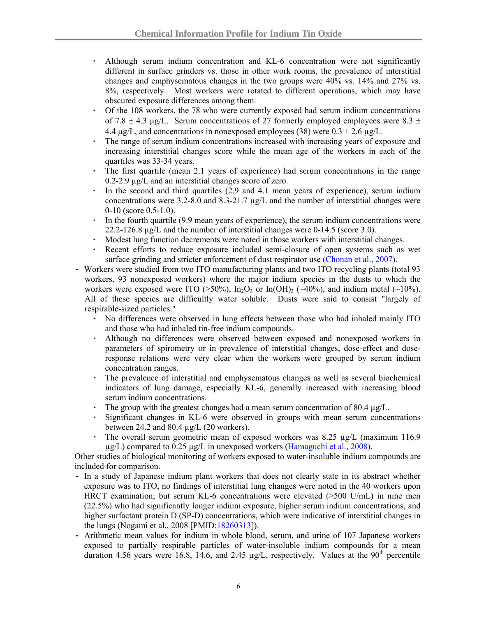- **·** Although serum indium concentration and KL-6 concentration were not significantly different in surface grinders vs. those in other work rooms, the prevalence of interstitial changes and emphysematous changes in the two groups were 40% vs. 14% and 27% vs. 8%, respectively. Most workers were rotated to different operations, which may have obscured exposure differences among them.
- **·** Of the 108 workers, the 78 who were currently exposed had serum indium concentrations of 7.8  $\pm$  4.3 ug/L. Serum concentrations of 27 formerly employed employees were 8.3  $\pm$ 4.4  $\mu$ g/L, and concentrations in nonexposed employees (38) were 0.3  $\pm$  2.6  $\mu$ g/L.
- The range of serum indium concentrations increased with increasing years of exposure and increasing interstitial changes score while the mean age of the workers in each of the quartiles was 33-34 years.
- **·** The first quartile (mean 2.1 years of experience) had serum concentrations in the range 0.2-2.9 µg/L and an interstitial changes score of zero.
- **·** In the second and third quartiles (2.9 and 4.1 mean years of experience), serum indium concentrations were 3.2-8.0 and 8.3-21.7  $\mu$ g/L and the number of interstitial changes were 0-10 (score 0.5-1.0).
- **·** In the fourth quartile (9.9 mean years of experience), the serum indium concentrations were 22.2-126.8 µg/L and the number of interstitial changes were 0-14.5 (score 3.0).
- **·** Modest lung function decrements were noted in those workers with interstitial changes.
- **·** Recent efforts to reduce exposure included semi-closure of open systems such as wet surface grinding and stricter enforcement of dust respirator use [\(Chonan et al., 2007\)](http://erj.ersjournals.com/cgi/reprint/29/2/317).
- **-** Workers were studied from two ITO manufacturing plants and two ITO recycling plants (total 93 workers, 93 nonexposed workers) where the major indium species in the dusts to which the workers were exposed were ITO ( $>50\%$ ), In<sub>2</sub>O<sub>3</sub> or In(OH)<sub>3</sub> ( $\sim$ 40%), and indium metal ( $\sim$ 10%). All of these species are difficultly water soluble. Dusts were said to consist "largely of respirable-sized particles."
	- **·** No differences were observed in lung effects between those who had inhaled mainly ITO and those who had inhaled tin-free indium compounds.
	- **·** Although no differences were observed between exposed and nonexposed workers in parameters of spirometry or in prevalence of interstitial changes, dose-effect and doseresponse relations were very clear when the workers were grouped by serum indium concentration ranges.
	- **·** The prevalence of interstitial and emphysematous changes as well as several biochemical indicators of lung damage, especially KL-6, generally increased with increasing blood serum indium concentrations.
	- The group with the greatest changes had a mean serum concentration of 80.4  $\mu$ g/L.
	- **·** Significant changes in KL-6 were observed in groups with mean serum concentrations between 24.2 and 80.4  $\mu$ g/L (20 workers).
	- The overall serum geometric mean of exposed workers was 8.25 µg/L (maximum 116.9) µg/L) compared to 0.25 µg/L in unexposed workers ([Hamaguchi et al., 2008\)](http://www.bvsde.paho.org/bvsacd/cd67/hardly.pdf).

Other studies of biological monitoring of workers exposed to water-insoluble indium compounds are included for comparison.

- **-** In a study of Japanese indium plant workers that does not clearly state in its abstract whether exposure was to ITO, no findings of interstitial lung changes were noted in the 40 workers upon HRCT examination; but serum KL-6 concentrations were elevated (>500 U/mL) in nine men (22.5%) who had significantly longer indium exposure, higher serum indium concentrations, and higher surfactant protein D (SP-D) concentrations, which were indicative of interstitial changes in the lungs (Nogami et al., 2008 [PMID[:18260313\]](http://www.ncbi.nlm.nih.gov/sites/entrez?orig_db=PubMed&db=pubmed&cmd=Search&TransSchema=title&term=16280313)).
- **-** Arithmetic mean values for indium in whole blood, serum, and urine of 107 Japanese workers exposed to partially respirable particles of water-insoluble indium compounds for a mean duration 4.56 years were 16.8, 14.6, and 2.45  $\mu$ g/L, respectively. Values at the 90<sup>th</sup> percentile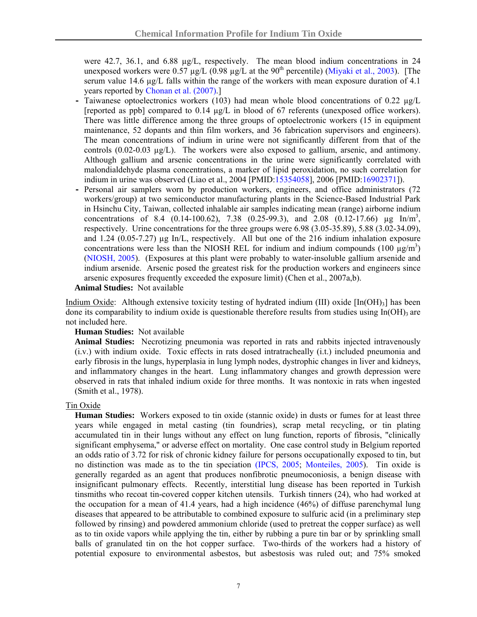were 42.7, 36.1, and 6.88 µg/L, respectively. The mean blood indium concentrations in 24 unexposed workers were  $0.57 \mu g/L$  ( $0.98 \mu g/L$  at the  $90<sup>th</sup>$  percentile) (Miyaki et al., 2003). [The serum value 14.6 µg/L falls within the range of the workers with mean exposure duration of 4.1 years reported by Chonan et al. (2007).]

- **-** Taiwanese optoelectronics workers (103) had mean whole blood concentrations of 0.22 µg/L [reported as ppb] compared to 0.14 µg/L in blood of 67 referents (unexposed office workers). There was little difference among the three groups of optoelectronic workers (15 in equipment maintenance, 52 dopants and thin film workers, and 36 fabrication supervisors and engineers). The mean concentrations of indium in urine were not significantly different from that of the controls  $(0.02-0.03 \mu g/L)$ . The workers were also exposed to gallium, arsenic, and antimony. Although gallium and arsenic concentrations in the urine were significantly correlated with malondialdehyde plasma concentrations, a marker of lipid peroxidation, no such correlation for indium in urine was observed (Liao et al., 2004 [PMID[:15354058](http://www.ncbi.nlm.nih.gov/sites/entrez?orig_db=PubMed&db=pubmed&cmd=Search&TransSchema=title&term=15354058)], 2006 [PMID[:16902371\]](http://www.ncbi.nlm.nih.gov/sites/entrez?orig_db=PubMed&db=pubmed&cmd=Search&TransSchema=title&term=16902371)).
- **-** Personal air samplers worn by production workers, engineers, and office administrators (72 workers/group) at two semiconductor manufacturing plants in the Science-Based Industrial Park in Hsinchu City, Taiwan, collected inhalable air samples indicating mean (range) airborne indium concentrations of 8.4 (0.14-100.62), 7.38 (0.25-99.3), and 2.08 (0.12-17.66)  $\mu$ g In/m<sup>3</sup>, respectively. Urine concentrations for the three groups were 6.98 (3.05-35.89), 5.88 (3.02-34.09), and 1.24 (0.05-7.27)  $\mu$ g In/L, respectively. All but one of the 216 indium inhalation exposure concentrations were less than the NIOSH REL for indium and indium compounds  $(100 \text{ µg/m}^3)$ ([NIOSH, 2005](http://www.cdc.gov/NIOSH/npg/npgd0341.html)). (Exposures at this plant were probably to water-insoluble gallium arsenide and indium arsenide. Arsenic posed the greatest risk for the production workers and engineers since arsenic exposures frequently exceeded the exposure limit) (Chen et al., 2007a,b).

#### **Animal Studies:** Not available

Indium Oxide: Although extensive toxicity testing of hydrated indium (III) oxide  $[In(OH)<sub>3</sub>]$  has been done its comparability to indium oxide is questionable therefore results from studies using  $In(OH)$ 3 are not included here.

#### **Human Studies:** Not available

**Animal Studies:** Necrotizing pneumonia was reported in rats and rabbits injected intravenously (i.v.) with indium oxide. Toxic effects in rats dosed intratracheally (i.t.) included pneumonia and early fibrosis in the lungs, hyperplasia in lung lymph nodes, dystrophic changes in liver and kidneys, and inflammatory changes in the heart. Lung inflammatory changes and growth depression were observed in rats that inhaled indium oxide for three months. It was nontoxic in rats when ingested (Smith et al., 1978).

#### Tin Oxide

**Human Studies:** Workers exposed to tin oxide (stannic oxide) in dusts or fumes for at least three years while engaged in metal casting (tin foundries), scrap metal recycling, or tin plating accumulated tin in their lungs without any effect on lung function, reports of fibrosis, "clinically significant emphysema," or adverse effect on mortality. One case control study in Belgium reported an odds ratio of 3.72 for risk of chronic kidney failure for persons occupationally exposed to tin, but no distinction was made as to the tin speciation [\(IPCS, 2005](http://www.inchem.org/documents/cicads/cicads/cicad65.htm); [Monteiles, 2005](https://gupea.ub.gu.se/dspace/bitstream/2077/4352/1/ah2005_07.pdf)). Tin oxide is generally regarded as an agent that produces nonfibrotic pneumoconiosis, a benign disease with insignificant pulmonary effects. Recently, interstitial lung disease has been reported in Turkish tinsmiths who recoat tin-covered copper kitchen utensils. Turkish tinners (24), who had worked at the occupation for a mean of 41.4 years, had a high incidence (46%) of diffuse parenchymal lung diseases that appeared to be attributable to combined exposure to sulfuric acid (in a preliminary step followed by rinsing) and powdered ammonium chloride (used to pretreat the copper surface) as well as to tin oxide vapors while applying the tin, either by rubbing a pure tin bar or by sprinkling small balls of granulated tin on the hot copper surface. Two-thirds of the workers had a history of potential exposure to environmental asbestos, but asbestosis was ruled out; and 75% smoked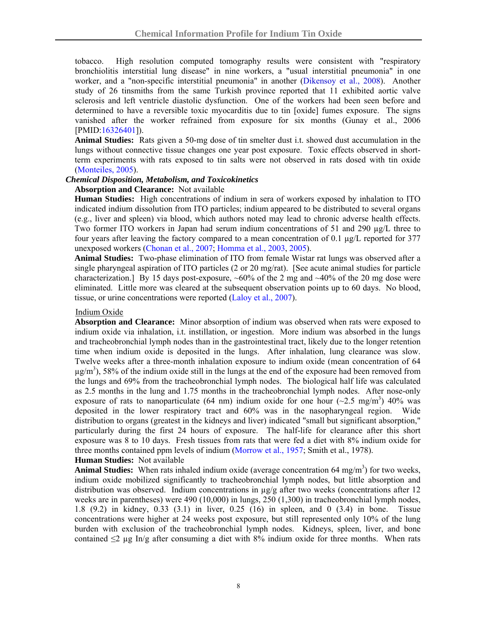tobacco. High resolution computed tomography results were consistent with "respiratory bronchiolitis interstitial lung disease" in nine workers, a "usual interstitial pneumonia" in one worker, and a "non-specific interstitial pneumonia" in another [\(Dikensoy et al., 2008](http://joh.med.uoeh-u.ac.jp/pdf/E50/E50_2_16.pdf)). Another study of 26 tinsmiths from the same Turkish province reported that 11 exhibited aortic valve sclerosis and left ventricle diastolic dysfunction. One of the workers had been seen before and determined to have a reversible toxic myocarditis due to tin [oxide] fumes exposure. The signs vanished after the worker refrained from exposure for six months (Gunay et al., 2006 [PMID[:16326401\]](http://www.ncbi.nlm.nih.gov/sites/entrez?orig_db=PubMed&db=pubmed&cmd=Search&TransSchema=title&term=16326401)).

**Animal Studies:** Rats given a 50-mg dose of tin smelter dust i.t. showed dust accumulation in the lungs without connective tissue changes one year post exposure. Toxic effects observed in shortterm experiments with rats exposed to tin salts were not observed in rats dosed with tin oxide ([Monteiles, 2005](https://gupea.ub.gu.se/dspace/bitstream/2077/4352/1/ah2005_07.pdf)).

#### *Chemical Disposition, Metabolism, and Toxicokinetics*

#### **Absorption and Clearance:** Not available

**Human Studies:** High concentrations of indium in sera of workers exposed by inhalation to ITO indicated indium dissolution from ITO particles; indium appeared to be distributed to several organs (e.g., liver and spleen) via blood, which authors noted may lead to chronic adverse health effects. Two former ITO workers in Japan had serum indium concentrations of 51 and 290  $\mu g/L$  three to four years after leaving the factory compared to a mean concentration of 0.1 µg/L reported for 377 unexposed workers [\(Chonan et al., 2007](http://erj.ersjournals.com/cgi/reprint/29/2/317); [Homma et al., 2003](http://www.jstage.jst.go.jp/article/joh/45/3/137/_pdf), [2005\)](http://erj.ersjournals.com/cgi/reprint/25/1/200).

**Animal Studies:** Two-phase elimination of ITO from female Wistar rat lungs was observed after a single pharyngeal aspiration of ITO particles (2 or 20 mg/rat). [See acute animal studies for particle characterization.] By 15 days post-exposure,  $\sim 60\%$  of the 2 mg and  $\sim 40\%$  of the 20 mg dose were eliminated. Little more was cleared at the subsequent observation points up to 60 days. No blood, tissue, or urine concentrations were reported ([Laloy et al., 2007\)](http://www.epa.gov/oppt/tsca8e/pubs/8ehq/2007/jun07/8ehq_0607_16847b_89070000363.pdf).

#### Indium Oxide

**Absorption and Clearance:** Minor absorption of indium was observed when rats were exposed to indium oxide via inhalation, i.t. instillation, or ingestion. More indium was absorbed in the lungs and tracheobronchial lymph nodes than in the gastrointestinal tract, likely due to the longer retention time when indium oxide is deposited in the lungs. After inhalation, lung clearance was slow. Twelve weeks after a three-month inhalation exposure to indium oxide (mean concentration of 64  $\mu$ g/m<sup>3</sup>), 58% of the indium oxide still in the lungs at the end of the exposure had been removed from the lungs and 69% from the tracheobronchial lymph nodes. The biological half life was calculated as 2.5 months in the lung and 1.75 months in the tracheobronchial lymph nodes. After nose-only exposure of rats to nanoparticulate (64 nm) indium oxide for one hour  $(\sim 2.5 \text{ mg/m}^3)$  40% was deposited in the lower respiratory tract and 60% was in the nasopharyngeal region. Wide distribution to organs (greatest in the kidneys and liver) indicated "small but significant absorption," particularly during the first 24 hours of exposure. The half-life for clearance after this short exposure was 8 to 10 days. Fresh tissues from rats that were fed a diet with 8% indium oxide for three months contained ppm levels of indium ([Morrow et al., 1957](http://www.osti.gov/energycitations/product.biblio.jsp?osti_id=4345461&query_id=0); Smith et al., 1978).

#### **Human Studies:** Not available

Animal Studies: When rats inhaled indium oxide (average concentration 64 mg/m<sup>3</sup>) for two weeks, indium oxide mobilized significantly to tracheobronchial lymph nodes, but little absorption and distribution was observed. Indium concentrations in  $\mu$ g/g after two weeks (concentrations after 12 weeks are in parentheses) were 490 (10,000) in lungs, 250 (1,300) in tracheobronchial lymph nodes, 1.8 (9.2) in kidney, 0.33 (3.1) in liver, 0.25 (16) in spleen, and 0 (3.4) in bone. Tissue concentrations were higher at 24 weeks post exposure, but still represented only 10% of the lung burden with exclusion of the tracheobronchial lymph nodes. Kidneys, spleen, liver, and bone contained  $\leq 2 \mu g \ln/g$  after consuming a diet with 8% indium oxide for three months. When rats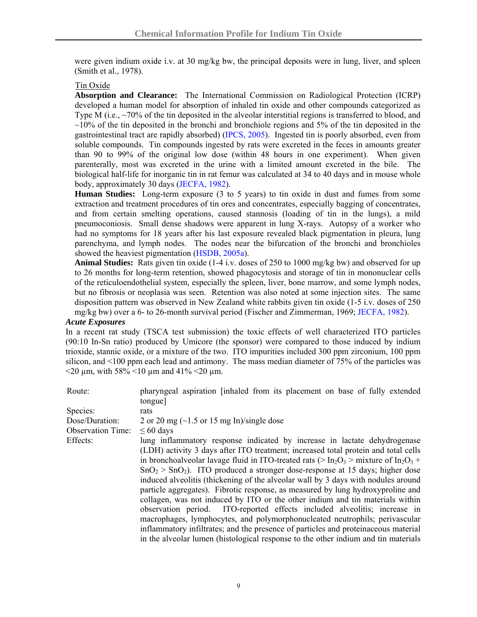were given indium oxide i.v. at 30 mg/kg bw, the principal deposits were in lung, liver, and spleen (Smith et al., 1978).

#### Tin Oxide

**Absorption and Clearance:** The International Commission on Radiological Protection (ICRP) developed a human model for absorption of inhaled tin oxide and other compounds categorized as Type M (i.e., ~70% of the tin deposited in the alveolar interstitial regions is transferred to blood, and  $\sim$ 10% of the tin deposited in the bronchi and bronchiole regions and 5% of the tin deposited in the gastrointestinal tract are rapidly absorbed) [\(IPCS, 2005](http://www.inchem.org/documents/cicads/cicads/cicad65.htm)). Ingested tin is poorly absorbed, even from soluble compounds. Tin compounds ingested by rats were excreted in the feces in amounts greater than 90 to 99% of the original low dose (within 48 hours in one experiment). When given parenterally, most was excreted in the urine with a limited amount excreted in the bile. The biological half-life for inorganic tin in rat femur was calculated at 34 to 40 days and in mouse whole body, approximately 30 days [\(JECFA, 1982\)](http://www.inchem.org/documents/jecfa/jecmono/v17je32.htm).

**Human Studies:** Long-term exposure (3 to 5 years) to tin oxide in dust and fumes from some extraction and treatment procedures of tin ores and concentrates, especially bagging of concentrates, and from certain smelting operations, caused stannosis (loading of tin in the lungs), a mild pneumoconiosis. Small dense shadows were apparent in lung X-rays. Autopsy of a worker who had no symptoms for 18 years after his last exposure revealed black pigmentation in pleura, lung parenchyma, and lymph nodes. The nodes near the bifurcation of the bronchi and bronchioles showed the heaviest pigmentation ([HSDB, 2005a\)](http://toxnet.nlm.nih.gov/cgi-bin/sis/search/r?dbs+hsdb:@term+@rn+@rel+18282-10-5).

**Animal Studies:** Rats given tin oxide (1-4 i.v. doses of 250 to 1000 mg/kg bw) and observed for up to 26 months for long-term retention, showed phagocytosis and storage of tin in mononuclear cells of the reticuloendothelial system, especially the spleen, liver, bone marrow, and some lymph nodes, but no fibrosis or neoplasia was seen. Retention was also noted at some injection sites. The same disposition pattern was observed in New Zealand white rabbits given tin oxide (1-5 i.v. doses of 250 mg/kg bw) over a 6- to 26-month survival period (Fischer and Zimmerman, 1969; [JECFA, 1982](http://www.inchem.org/documents/jecfa/jecmono/v17je32.htm)).

#### *Acute Exposures*

In a recent rat study (TSCA test submission) the toxic effects of well characterized ITO particles (90:10 In-Sn ratio) produced by Umicore (the sponsor) were compared to those induced by indium trioxide, stannic oxide, or a mixture of the two. ITO impurities included 300 ppm zirconium, 100 ppm silicon, and <100 ppm each lead and antimony. The mass median diameter of 75% of the particles was  $\leq$ 20 um, with 58%  $\leq$ 10 um and 41%  $\leq$ 20 um.

| Route:                   | pharyngeal aspiration [inhaled from its placement on base of fully extended                                              |  |  |  |  |  |
|--------------------------|--------------------------------------------------------------------------------------------------------------------------|--|--|--|--|--|
|                          | tongue]                                                                                                                  |  |  |  |  |  |
| Species:                 | rats                                                                                                                     |  |  |  |  |  |
| Dose/Duration:           | 2 or 20 mg ( $\sim$ 1.5 or 15 mg In)/single dose                                                                         |  |  |  |  |  |
| <b>Observation Time:</b> | $\leq 60$ days                                                                                                           |  |  |  |  |  |
| Effects:                 | lung inflammatory response indicated by increase in lactate dehydrogenase                                                |  |  |  |  |  |
|                          | (LDH) activity 3 days after ITO treatment; increased total protein and total cells                                       |  |  |  |  |  |
|                          | in bronchoalveolar lavage fluid in ITO-treated rats ( $> \text{In}_2\text{O}_3$ $>$ mixture of $\text{In}_2\text{O}_3$ + |  |  |  |  |  |
|                          | $SnO2 > SnO2$ ). ITO produced a stronger dose-response at 15 days; higher dose                                           |  |  |  |  |  |
|                          | induced alveolitis (thickening of the alveolar wall by 3 days with nodules around                                        |  |  |  |  |  |
|                          | particle aggregates). Fibrotic response, as measured by lung hydroxyproline and                                          |  |  |  |  |  |
|                          | collagen, was not induced by ITO or the other indium and tin materials within                                            |  |  |  |  |  |
|                          | observation period. ITO-reported effects included alveolitis; increase in                                                |  |  |  |  |  |
|                          | macrophages, lymphocytes, and polymorphonucleated neutrophils; perivascular                                              |  |  |  |  |  |
|                          | inflammatory infiltrates; and the presence of particles and proteinaceous material                                       |  |  |  |  |  |
|                          | in the alveolar lumen (histological response to the other indium and tin materials                                       |  |  |  |  |  |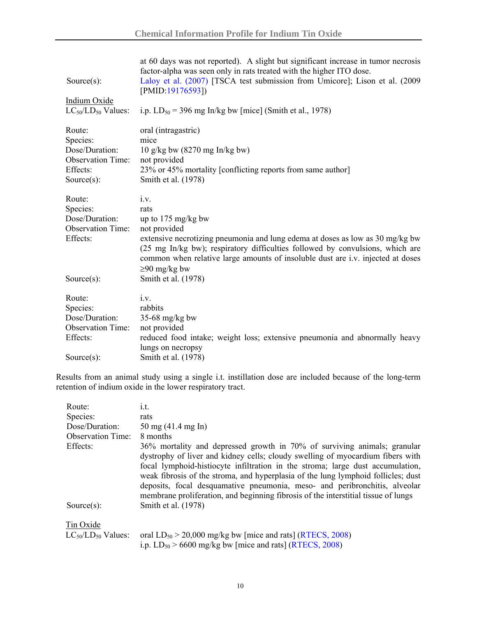| Source $(s)$ :<br><b>Indium Oxide</b><br>$LC_{50}/LD_{50}$ Values:                             | at 60 days was not reported). A slight but significant increase in tumor necrosis<br>factor-alpha was seen only in rats treated with the higher ITO dose.<br>Laloy et al. (2007) [TSCA test submission from Umicore]; Lison et al. (2009)<br>[PMID:19176593])<br>i.p. $LD_{50} = 396$ mg In/kg bw [mice] (Smith et al., 1978)                                  |
|------------------------------------------------------------------------------------------------|----------------------------------------------------------------------------------------------------------------------------------------------------------------------------------------------------------------------------------------------------------------------------------------------------------------------------------------------------------------|
| Route:<br>Species:<br>Dose/Duration:<br><b>Observation Time:</b><br>Effects:<br>Source $(s)$ : | oral (intragastric)<br>mice<br>10 g/kg bw $(8270 \text{ mg In/kg bw})$<br>not provided<br>23% or 45% mortality [conflicting reports from same author]<br>Smith et al. (1978)                                                                                                                                                                                   |
| Route:<br>Species:<br>Dose/Duration:<br><b>Observation Time:</b><br>Effects:<br>Source $(s)$ : | i.v.<br>rats<br>up to $175 \text{ mg/kg}$ bw<br>not provided<br>extensive necrotizing pneumonia and lung edema at doses as low as 30 mg/kg bw<br>(25 mg In/kg bw); respiratory difficulties followed by convulsions, which are<br>common when relative large amounts of insoluble dust are i.v. injected at doses<br>$\geq 90$ mg/kg bw<br>Smith et al. (1978) |
| Route:<br>Species:<br>Dose/Duration:<br><b>Observation Time:</b><br>Effects:<br>Source $(s)$ : | i.v.<br>rabbits<br>$35-68$ mg/kg bw<br>not provided<br>reduced food intake; weight loss; extensive pneumonia and abnormally heavy<br>lungs on necropsy<br>Smith et al. (1978)                                                                                                                                                                                  |

Results from an animal study using a single i.t. instillation dose are included because of the long-term retention of indium oxide in the lower respiratory tract.

| Route:                    | i.t.                                                                                                                                                                                                                                                                                                                                                                                                                                                                                                  |
|---------------------------|-------------------------------------------------------------------------------------------------------------------------------------------------------------------------------------------------------------------------------------------------------------------------------------------------------------------------------------------------------------------------------------------------------------------------------------------------------------------------------------------------------|
| Species:                  | rats                                                                                                                                                                                                                                                                                                                                                                                                                                                                                                  |
| Dose/Duration:            | $50 \text{ mg} (41.4 \text{ mg} \ln)$                                                                                                                                                                                                                                                                                                                                                                                                                                                                 |
| <b>Observation Time:</b>  | 8 months                                                                                                                                                                                                                                                                                                                                                                                                                                                                                              |
| Effects:                  | 36% mortality and depressed growth in 70% of surviving animals; granular<br>dystrophy of liver and kidney cells; cloudy swelling of myocardium fibers with<br>focal lymphoid-histiocyte infiltration in the stroma; large dust accumulation,<br>weak fibrosis of the stroma, and hyperplasia of the lung lymphoid follicles; dust<br>deposits, focal desquamative pneumonia, meso- and peribronchitis, alveolar<br>membrane proliferation, and beginning fibrosis of the interstitial tissue of lungs |
| Source $(s)$ :            | Smith et al. (1978)                                                                                                                                                                                                                                                                                                                                                                                                                                                                                   |
| Tin Oxide                 |                                                                                                                                                                                                                                                                                                                                                                                                                                                                                                       |
| $LC_{50}/LD_{50}$ Values: | oral $LD_{50} > 20,000$ mg/kg bw [mice and rats] (RTECS, 2008)                                                                                                                                                                                                                                                                                                                                                                                                                                        |
|                           | i.p. $LD_{50}$ > 6600 mg/kg bw [mice and rats] (RTECS, 2008)                                                                                                                                                                                                                                                                                                                                                                                                                                          |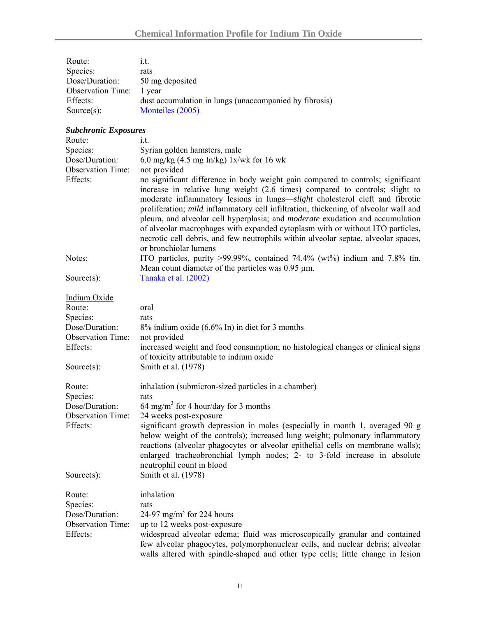| Route:                               | i.t.                                                                                                                                                                                                                                                                                                                                                                                                                                                                                                                                                                                                                             |
|--------------------------------------|----------------------------------------------------------------------------------------------------------------------------------------------------------------------------------------------------------------------------------------------------------------------------------------------------------------------------------------------------------------------------------------------------------------------------------------------------------------------------------------------------------------------------------------------------------------------------------------------------------------------------------|
| Species:                             | rats                                                                                                                                                                                                                                                                                                                                                                                                                                                                                                                                                                                                                             |
| Dose/Duration:                       | 50 mg deposited                                                                                                                                                                                                                                                                                                                                                                                                                                                                                                                                                                                                                  |
| <b>Observation Time:</b>             | 1 year                                                                                                                                                                                                                                                                                                                                                                                                                                                                                                                                                                                                                           |
| Effects:                             | dust accumulation in lungs (unaccompanied by fibrosis)                                                                                                                                                                                                                                                                                                                                                                                                                                                                                                                                                                           |
| Source $(s)$ :                       | Monteiles (2005)                                                                                                                                                                                                                                                                                                                                                                                                                                                                                                                                                                                                                 |
| <b>Subchronic Exposures</b>          |                                                                                                                                                                                                                                                                                                                                                                                                                                                                                                                                                                                                                                  |
| Route:                               | i.t.                                                                                                                                                                                                                                                                                                                                                                                                                                                                                                                                                                                                                             |
| Species:                             | Syrian golden hamsters, male                                                                                                                                                                                                                                                                                                                                                                                                                                                                                                                                                                                                     |
| Dose/Duration:                       | 6.0 mg/kg $(4.5 \text{ mg In/kg})$ 1x/wk for 16 wk                                                                                                                                                                                                                                                                                                                                                                                                                                                                                                                                                                               |
| <b>Observation Time:</b>             | not provided                                                                                                                                                                                                                                                                                                                                                                                                                                                                                                                                                                                                                     |
|                                      |                                                                                                                                                                                                                                                                                                                                                                                                                                                                                                                                                                                                                                  |
| Effects:                             | no significant difference in body weight gain compared to controls; significant<br>increase in relative lung weight (2.6 times) compared to controls; slight to<br>moderate inflammatory lesions in lungs-slight cholesterol cleft and fibrotic<br>proliferation; mild inflammatory cell infiltration, thickening of alveolar wall and<br>pleura, and alveolar cell hyperplasia; and <i>moderate</i> exudation and accumulation<br>of alveolar macrophages with expanded cytoplasm with or without ITO particles,<br>necrotic cell debris, and few neutrophils within alveolar septae, alveolar spaces,<br>or bronchiolar lumens |
| Notes:                               | ITO particles, purity >99.99%, contained 74.4% (wt%) indium and 7.8% tin.<br>Mean count diameter of the particles was $0.95 \mu m$ .                                                                                                                                                                                                                                                                                                                                                                                                                                                                                             |
| Source $(s)$ :                       | Tanaka et al. (2002)                                                                                                                                                                                                                                                                                                                                                                                                                                                                                                                                                                                                             |
| <b>Indium Oxide</b>                  |                                                                                                                                                                                                                                                                                                                                                                                                                                                                                                                                                                                                                                  |
| Route:                               | oral                                                                                                                                                                                                                                                                                                                                                                                                                                                                                                                                                                                                                             |
| Species:                             | rats                                                                                                                                                                                                                                                                                                                                                                                                                                                                                                                                                                                                                             |
| Dose/Duration:                       | $8\%$ indium oxide $(6.6\%$ In) in diet for 3 months                                                                                                                                                                                                                                                                                                                                                                                                                                                                                                                                                                             |
| <b>Observation Time:</b>             | not provided                                                                                                                                                                                                                                                                                                                                                                                                                                                                                                                                                                                                                     |
| Effects:                             | increased weight and food consumption; no histological changes or clinical signs                                                                                                                                                                                                                                                                                                                                                                                                                                                                                                                                                 |
|                                      | of toxicity attributable to indium oxide                                                                                                                                                                                                                                                                                                                                                                                                                                                                                                                                                                                         |
| Source $(s)$ :                       | Smith et al. (1978)                                                                                                                                                                                                                                                                                                                                                                                                                                                                                                                                                                                                              |
|                                      |                                                                                                                                                                                                                                                                                                                                                                                                                                                                                                                                                                                                                                  |
| Route:                               | inhalation (submicron-sized particles in a chamber)                                                                                                                                                                                                                                                                                                                                                                                                                                                                                                                                                                              |
| Species:                             | rats                                                                                                                                                                                                                                                                                                                                                                                                                                                                                                                                                                                                                             |
| Dose/Duration:                       | 64 mg/m <sup>3</sup> for 4 hour/day for 3 months                                                                                                                                                                                                                                                                                                                                                                                                                                                                                                                                                                                 |
| <b>Observation Time:</b><br>Effects: | 24 weeks post-exposure<br>significant growth depression in males (especially in month 1, averaged 90 g<br>below weight of the controls); increased lung weight; pulmonary inflammatory<br>reactions (alveolar phagocytes or alveolar epithelial cells on membrane walls);<br>enlarged tracheobronchial lymph nodes; 2- to 3-fold increase in absolute<br>neutrophil count in blood                                                                                                                                                                                                                                               |
| Source $(s)$ :                       | Smith et al. (1978)                                                                                                                                                                                                                                                                                                                                                                                                                                                                                                                                                                                                              |
| Route:                               | inhalation                                                                                                                                                                                                                                                                                                                                                                                                                                                                                                                                                                                                                       |
| Species:                             | rats                                                                                                                                                                                                                                                                                                                                                                                                                                                                                                                                                                                                                             |
| Dose/Duration:                       | 24-97 mg/m <sup>3</sup> for 224 hours                                                                                                                                                                                                                                                                                                                                                                                                                                                                                                                                                                                            |
| <b>Observation Time:</b>             | up to 12 weeks post-exposure                                                                                                                                                                                                                                                                                                                                                                                                                                                                                                                                                                                                     |
| Effects:                             | widespread alveolar edema; fluid was microscopically granular and contained<br>few alveolar phagocytes, polymorphonuclear cells, and nuclear debris; alveolar<br>walls altered with spindle-shaped and other type cells; little change in lesion                                                                                                                                                                                                                                                                                                                                                                                 |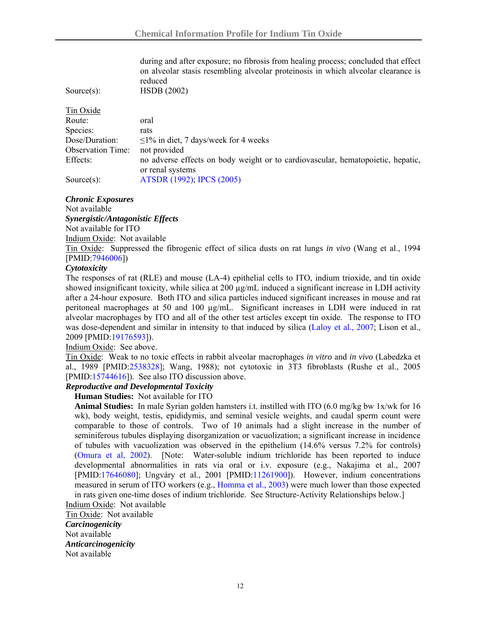| during and after exposure; no fibrosis from healing process; concluded that effect<br>on alveolar stasis resembling alveolar proteinosis in which alveolar clearance is<br>reduced<br><b>HSDB</b> (2002) |
|----------------------------------------------------------------------------------------------------------------------------------------------------------------------------------------------------------|
|                                                                                                                                                                                                          |
| oral                                                                                                                                                                                                     |
| rats                                                                                                                                                                                                     |
| $\leq$ 1% in diet, 7 days/week for 4 weeks                                                                                                                                                               |
| not provided                                                                                                                                                                                             |
| no adverse effects on body weight or to cardiovascular, hematopoietic, hepatic,                                                                                                                          |
| or renal systems                                                                                                                                                                                         |
| ATSDR (1992); IPCS (2005)                                                                                                                                                                                |
|                                                                                                                                                                                                          |

#### *Chronic Exposures*

Not available

*Synergistic/Antagonistic Effects*

Not available for ITO

Indium Oxide: Not available

Tin Oxide: Suppressed the fibrogenic effect of silica dusts on rat lungs *in vivo* (Wang et al., 1994 [PMID[:7946006](http://www.ncbi.nlm.nih.gov/sites/entrez?orig_db=PubMed&db=pubmed&cmd=Search&TransSchema=title&term=7946006)])

#### *Cytotoxicity*

The responses of rat (RLE) and mouse (LA-4) epithelial cells to ITO, indium trioxide, and tin oxide showed insignificant toxicity, while silica at 200  $\mu$ g/mL induced a significant increase in LDH activity after a 24-hour exposure. Both ITO and silica particles induced significant increases in mouse and rat peritoneal macrophages at 50 and 100 µg/mL. Significant increases in LDH were induced in rat alveolar macrophages by ITO and all of the other test articles except tin oxide. The response to ITO was dose-dependent and similar in intensity to that induced by silica [\(Laloy et al., 2007;](http://www.epa.gov/oppt/tsca8e/pubs/8ehq/2007/jun07/8ehq_0607_16847b_89070000363.pdf) Lison et al., 2009 [PMID[:19176593](http://www.ncbi.nlm.nih.gov/sites/entrez?orig_db=PubMed&db=pubmed&cmd=Search&TransSchema=title&term=19176593)]).

Indium Oxide: See above.

Tin Oxide: Weak to no toxic effects in rabbit alveolar macrophages *in vitro* and *in vivo* (Labedzka et al., 1989 [PMID[:2538328\]](http://www.ncbi.nlm.nih.gov/sites/entrez?orig_db=PubMed&db=pubmed&cmd=Search&TransSchema=title&term=2538328); Wang, 1988); not cytotoxic in 3T3 fibroblasts (Rushe et al., 2005 [PMID[:15744616\]](http://www.ncbi.nlm.nih.gov/sites/entrez?orig_db=PubMed&db=pubmed&cmd=Search&TransSchema=title&term=15744616)). See also ITO discussion above.

# *Reproductive and Developmental Toxicity*

**Human Studies:** Not available for ITO

**Animal Studies:** In male Syrian golden hamsters i.t. instilled with ITO (6.0 mg/kg bw 1x/wk for 16 wk), body weight, testis, epididymis, and seminal vesicle weights, and caudal sperm count were comparable to those of controls. Two of 10 animals had a slight increase in the number of seminiferous tubules displaying disorganization or vacuolization; a significant increase in incidence of tubules with vacuolization was observed in the epithelium (14.6% versus 7.2% for controls) [\(Omura et al, 2002\)](http://joh.med.uoeh-u.ac.jp/pdf/E44/E44_2_08.pdf). [Note: Water-soluble indium trichloride has been reported to induce developmental abnormalities in rats via oral or i.v. exposure (e.g., Nakajima et al., 2007 [PMID:[17646080](http://www.ncbi.nlm.nih.gov/sites/entrez?orig_db=PubMed&db=pubmed&cmd=Search&TransSchema=title&term=17646080)]; Ungváry et al., 2001 [PMID:[11261900](http://www.ncbi.nlm.nih.gov/sites/entrez?orig_db=PubMed&db=pubmed&cmd=Search&TransSchema=title&term=11261900)]). However, indium concentrations measured in serum of ITO workers (e.g., [Homma et al., 2003\)](http://www.jstage.jst.go.jp/article/joh/45/3/137/_pdf) were much lower than those expected in rats given one-time doses of indium trichloride. See Structure-Activity Relationships below.]

Indium Oxide: Not available

Tin Oxide: Not available *Carcinogenicity*  Not available *Anticarcinogenicity*  Not available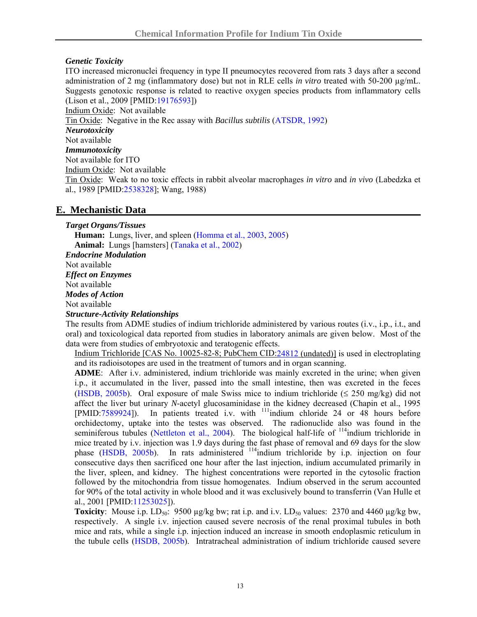#### *Genetic Toxicity*

ITO increased micronuclei frequency in type II pneumocytes recovered from rats 3 days after a second administration of 2 mg (inflammatory dose) but not in RLE cells *in vitro* treated with 50-200 µg/mL. Suggests genotoxic response is related to reactive oxygen species products from inflammatory cells (Lison et al., 2009 [PMID[:19176593](http://www.ncbi.nlm.nih.gov/sites/entrez?orig_db=PubMed&db=pubmed&cmd=Search&TransSchema=title&term=19176593)]) Indium Oxide: Not available Tin Oxide: Negative in the Rec assay with *Bacillus subtilis* [\(ATSDR, 1992\)](http://www.atsdr.cdc.gov/toxprofiles/tp55-c3.pdf) *Neurotoxicity*  Not available

# *Immunotoxicity*

Not available for ITO Indium Oxide: Not available

Tin Oxide: Weak to no toxic effects in rabbit alveolar macrophages *in vitro* and *in vivo* (Labedzka et al., 1989 [PMID[:2538328\]](http://www.ncbi.nlm.nih.gov/sites/entrez?orig_db=PubMed&db=pubmed&cmd=Search&TransSchema=title&term=2538328); Wang, 1988)

### **E. Mechanistic Data**

*Target Organs/Tissues*  **Human:** Lungs, liver, and spleen [\(Homma et al., 2003](http://www.jstage.jst.go.jp/article/joh/45/3/137/_pdf), [2005\)](http://erj.ersjournals.com/cgi/reprint/25/1/200) **Animal:** Lungs [hamsters] ([Tanaka et al., 2002\)](http://joh.med.uoeh-u.ac.jp/pdf/E44/E44_2_06.pdf) *Endocrine Modulation*  Not available *Effect on Enzymes*  Not available *Modes of Action*  Not available *Structure-Activity Relationships* 

The results from ADME studies of indium trichloride administered by various routes (i.v., i.p., i.t., and oral) and toxicological data reported from studies in laboratory animals are given below. Most of the data were from studies of embryotoxic and teratogenic effects.

Indium Trichloride [CAS No. 10025-82-8; PubChem CID:[24812](http://pubchem.ncbi.nlm.nih.gov/summary/summary.cgi?cid=24812&loc=ec_rcs) (undated)] is used in electroplating and its radioisotopes are used in the treatment of tumors and in organ scanning.

**ADME**: After i.v. administered, indium trichloride was mainly excreted in the urine; when given i.p., it accumulated in the liver, passed into the small intestine, then was excreted in the feces [\(HSDB, 2005b](http://toxnet.nlm.nih.gov/cgi-bin/sis/search/r?dbs+hsdb:@term+@rn+@rel+10025-82-8)). Oral exposure of male Swiss mice to indium trichloride ( $\leq$  250 mg/kg) did not affect the liver but urinary *N*-acetyl glucosaminidase in the kidney decreased (Chapin et al., 1995 [PMID:[7589924\]](http://www.ncbi.nlm.nih.gov/sites/entrez?orig_db=PubMed&db=pubmed&cmd=Search&TransSchema=title&term=7589924)). In patients treated i.v. with 111indium chloride 24 or 48 hours before orchidectomy, uptake into the testes was observed. The radionuclide also was found in the seminiferous tubules [\(Nettleton et al., 2004](http://jnm.snmjournals.org/cgi/reprint/45/1/138)). The biological half-life of <sup>114</sup>indium trichloride in mice treated by i.v. injection was 1.9 days during the fast phase of removal and 69 days for the slow phase [\(HSDB, 2005b\)](http://toxnet.nlm.nih.gov/cgi-bin/sis/search/r?dbs+hsdb:@term+@rn+@rel+10025-82-8). In rats administered <sup>114</sup>indium trichloride by i.p. injection on four consecutive days then sacrificed one hour after the last injection, indium accumulated primarily in the liver, spleen, and kidney. The highest concentrations were reported in the cytosolic fraction followed by the mitochondria from tissue homogenates. Indium observed in the serum accounted for 90% of the total activity in whole blood and it was exclusively bound to transferrin (Van Hulle et al., 2001 [PMID:[11253025\]](http://www.ncbi.nlm.nih.gov/sites/entrez?orig_db=PubMed&db=pubmed&cmd=Search&TransSchema=title&term=11253025)).

**Toxicity**: Mouse i.p.  $LD_{50}$ : 9500  $\mu$ g/kg bw; rat i.p. and i.v.  $LD_{50}$  values: 2370 and 4460  $\mu$ g/kg bw, respectively. A single i.v. injection caused severe necrosis of the renal proximal tubules in both mice and rats, while a single i.p. injection induced an increase in smooth endoplasmic reticulum in the tubule cells ([HSDB, 2005b\)](http://toxnet.nlm.nih.gov/cgi-bin/sis/search/r?dbs+hsdb:@term+@rn+@rel+10025-82-8). Intratracheal administration of indium trichloride caused severe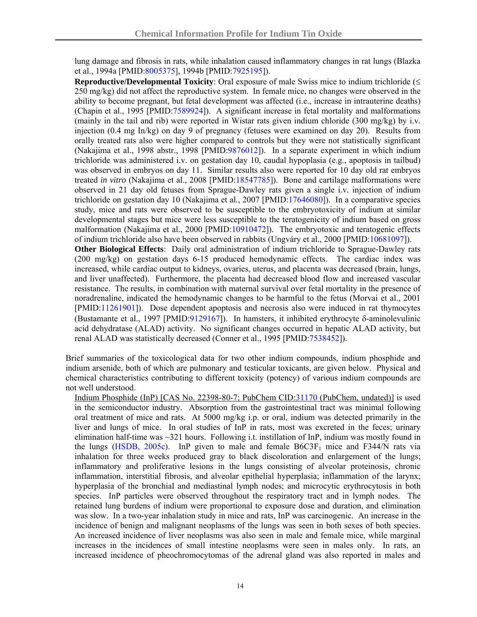lung damage and fibrosis in rats, while inhalation caused inflammatory changes in rat lungs (Blazka et al., 1994a [PMID[:8005375](http://www.ncbi.nlm.nih.gov/sites/entrez?orig_db=PubMed&db=pubmed&cmd=Search&TransSchema=title&term=8005375)], 1994b [PMID:[7925195](http://www.ncbi.nlm.nih.gov/sites/entrez?orig_db=PubMed&db=pubmed&cmd=Search&TransSchema=title&term=7925195)]).

**Reproductive/Developmental Toxicity**: Oral exposure of male Swiss mice to indium trichloride (≤ 250 mg/kg) did not affect the reproductive system. In female mice, no changes were observed in the ability to become pregnant, but fetal development was affected (i.e., increase in intrauterine deaths) (Chapin et al., 1995 [PMID[:7589924\]](http://www.ncbi.nlm.nih.gov/sites/entrez?orig_db=PubMed&db=pubmed&cmd=Search&TransSchema=title&term=7589924)). A significant increase in fetal mortality and malformations (mainly in the tail and rib) were reported in Wistar rats given indium chloride (300 mg/kg) by i.v. injection (0.4 mg In/kg) on day 9 of pregnancy (fetuses were examined on day 20). Results from orally treated rats also were higher compared to controls but they were not statistically significant (Nakajima et al., 1998 abstr., 1998 [PMID:[9876012](http://www.ncbi.nlm.nih.gov/sites/entrez?orig_db=PubMed&db=pubmed&cmd=Search&TransSchema=title&term=9876012)]). In a separate experiment in which indium trichloride was administered i.v. on gestation day 10, caudal hypoplasia (e.g., apoptosis in tailbud) was observed in embryos on day 11. Similar results also were reported for 10 day old rat embryos treated *in vitro* (Nakajima et al., 2008 [PMID:[18547785](http://www.ncbi.nlm.nih.gov/sites/entrez?orig_db=PubMed&db=pubmed&cmd=Search&TransSchema=title&term=18547785)]). Bone and cartilage malformations were observed in 21 day old fetuses from Sprague-Dawley rats given a single i.v. injection of indium trichloride on gestation day 10 (Nakajima et al., 2007 [PMID[:17646080\]](http://www.ncbi.nlm.nih.gov/sites/entrez?orig_db=PubMed&db=pubmed&cmd=Search&TransSchema=title&term=17646080)). In a comparative species study, mice and rats were observed to be susceptible to the embryotoxicity of indium at similar developmental stages but mice were less susceptible to the teratogenicity of indium based on gross malformation (Nakajima et al., 2000 [PMID:[10910472\]](http://www.ncbi.nlm.nih.gov/sites/entrez?orig_db=PubMed&db=pubmed&cmd=Search&TransSchema=title&term=10910472)). The embryotoxic and teratogenic effects of indium trichloride also have been observed in rabbits (Ungváry et al., 2000 [PMID:[10681097\]](http://www.ncbi.nlm.nih.gov/sites/entrez?orig_db=PubMed&db=pubmed&cmd=Search&TransSchema=title&term=10681097)).

**Other Biological Effects**: Daily oral administration of indium trichloride to Sprague-Dawley rats (200 mg/kg) on gestation days 6-15 produced hemodynamic effects. The cardiac index was increased, while cardiac output to kidneys, ovaries, uterus, and placenta was decreased (brain, lungs, and liver unaffected). Furthermore, the placenta had decreased blood flow and increased vascular resistance. The results, in combination with maternal survival over fetal mortality in the presence of noradrenaline, indicated the hemodynamic changes to be harmful to the fetus (Morvai et al., 2001 [PMID:[11261901](http://www.ncbi.nlm.nih.gov/sites/entrez?orig_db=PubMed&db=pubmed&cmd=Search&TransSchema=title&term=11261901)]). Dose dependent apoptosis and necrosis also were induced in rat thymocytes (Bustamante et al., 1997 [PMID:[9129167](http://www.ncbi.nlm.nih.gov/sites/entrez?orig_db=PubMed&db=pubmed&cmd=Search&TransSchema=title&term=9129167)]). In hamsters, it inhibited erythrocyte δ-aminolevulinic acid dehydratase (ALAD) activity. No significant changes occurred in hepatic ALAD activity, but renal ALAD was statistically decreased (Conner et al., 1995 [PMID[:7538452\]](http://www.ncbi.nlm.nih.gov/sites/entrez?orig_db=PubMed&db=pubmed&cmd=Search&TransSchema=title&term=7538452)).

Brief summaries of the toxicological data for two other indium compounds, indium phosphide and indium arsenide, both of which are pulmonary and testicular toxicants, are given below. Physical and chemical characteristics contributing to different toxicity (potency) of various indium compounds are not well understood.

Indium Phosphide (InP) [CAS No. 22398-80-7; PubChem CID:[31170](http://pubchem.ncbi.nlm.nih.gov/summary/summary.cgi?cid=31170) (PubChem, undated)] is used in the semiconductor industry. Absorption from the gastrointestinal tract was minimal following oral treatment of mice and rats. At 5000 mg/kg i.p. or oral, indium was detected primarily in the liver and lungs of mice. In oral studies of InP in rats, most was excreted in the feces; urinary elimination half-time was ~321 hours. Following i.t. instillation of InP, indium was mostly found in the lungs ([HSDB, 2005c\)](http://toxnet.nlm.nih.gov/cgi-bin/sis/search/r?dbs+hsdb:@term+@rn+@rel+22398-80-7). InP given to male and female  $B6C3F<sub>1</sub>$  mice and F344/N rats via inhalation for three weeks produced gray to black discoloration and enlargement of the lungs; inflammatory and proliferative lesions in the lungs consisting of alveolar proteinosis, chronic inflammation, interstitial fibrosis, and alveolar epithelial hyperplasia; inflammation of the larynx; hyperplasia of the bronchial and mediastinal lymph nodes; and microcytic erythrocytosis in both species. InP particles were observed throughout the respiratory tract and in lymph nodes. The retained lung burdens of indium were proportional to exposure dose and duration, and elimination was slow. In a two-year inhalation study in mice and rats, InP was carcinogenic. An increase in the incidence of benign and malignant neoplasms of the lungs was seen in both sexes of both species. An increased incidence of liver neoplasms was also seen in male and female mice, while marginal increases in the incidences of small intestine neoplasms were seen in males only. In rats, an increased incidence of pheochromocytomas of the adrenal gland was also reported in males and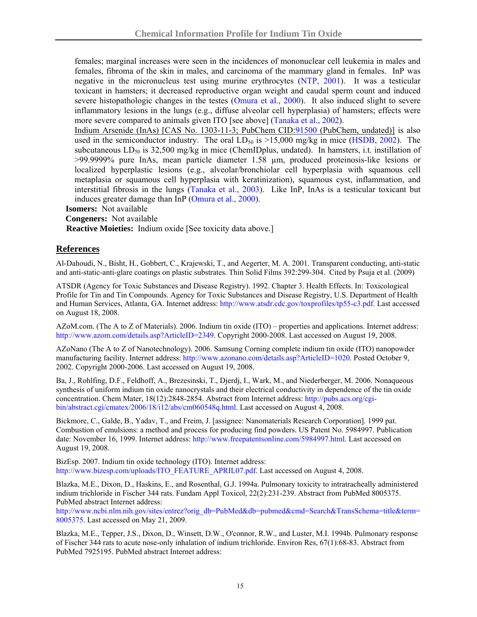females; marginal increases were seen in the incidences of mononuclear cell leukemia in males and females, fibroma of the skin in males, and carcinoma of the mammary gland in females. InP was negative in the micronucleus test using murine erythrocytes [\(NTP, 2001](http://ntp.niehs.nih.gov/index.cfm?objectid=070B0BF9-AFC9-B97A-E6B0DF1E4DC577F6)). It was a testicular toxicant in hamsters; it decreased reproductive organ weight and caudal sperm count and induced severe histopathologic changes in the testes [\(Omura et al., 2000](http://joh.med.uoeh-u.ac.jp/pdf/E42/E42_4_06.pdf)). It also induced slight to severe inflammatory lesions in the lungs (e.g., diffuse alveolar cell hyperplasia) of hamsters; effects were more severe compared to animals given ITO [see above] [\(Tanaka et al., 2002\)](http://joh.med.uoeh-u.ac.jp/pdf/E44/E44_2_06.pdf).

Indium Arsenide (InAs) [CAS No. 1303-11-3; PubChem CID[:91500](http://pubchem.ncbi.nlm.nih.gov/summary/summary.cgi?cid=91500) (PubChem, undated)] is also used in the semiconductor industry. The oral  $LD_{50}$  is  $>15,000$  mg/kg in mice ([HSDB, 2002](http://toxnet.nlm.nih.gov/cgi-bin/sis/search/r?dbs+hsdb:@term+@rn+@rel++@na+indium+compounds)). The subcutaneous  $LD_{50}$  is 32,500 mg/kg in mice (ChemIDplus, undated). In hamsters, i.t. instillation of >99.9999% pure InAs, mean particle diameter 1.58 µm, produced proteinosis-like lesions or localized hyperplastic lesions (e.g., alveolar/bronchiolar cell hyperplasia with squamous cell metaplasia or squamous cell hyperplasia with keratinization), squamous cyst, inflammation, and interstitial fibrosis in the lungs [\(Tanaka et al., 2003](http://www.jstage.jst.go.jp/article/joh/45/6/405/_pdf)). Like InP, InAs is a testicular toxicant but induces greater damage than InP ([Omura et al., 2000\)](http://joh.med.uoeh-u.ac.jp/pdf/E42/E42_4_06.pdf).

**Isomers:** Not available

**Congeners:** Not available

**Reactive Moieties:** Indium oxide [See toxicity data above.]

#### **References**

Al-Dahoudi, N., Bisht, H., Gobbert, C., Krajewski, T., and Aegerter, M. A. 2001. Transparent conducting, anti-static and anti-static-anti-glare coatings on plastic substrates. Thin Solid Films 392:299-304. Cited by Psuja et al. (2009)

ATSDR (Agency for Toxic Substances and Disease Registry). 1992. Chapter 3. Health Effects. In: Toxicological Profile for Tin and Tin Compounds. Agency for Toxic Substances and Disease Registry, U.S. Department of Health and Human Services, Atlanta, GA. Internet address:<http://www.atsdr.cdc.gov/toxprofiles/tp55-c3.pdf>. Last accessed on August 18, 2008.

AZoM.com. (The A to Z of Materials). 2006. Indium tin oxide (ITO) – properties and applications. Internet address: <http://www.azom.com/details.asp?ArticleID=2349>. Copyright 2000-2008. Last accessed on August 19, 2008.

AZoNano (The A to Z of Nanotechnology). 2006. Samsung Corning complete indium tin oxide (ITO) nanopowder manufacturing facility. Internet address:<http://www.azonano.com/details.asp?ArticleID=1020>. Posted October 9, 2002. Copyright 2000-2006. Last accessed on August 19, 2008.

Ba, J., Rohlfing, D.F., Feldhoff, A., Brezesinski, T., Djerdj, I., Wark, M., and Niederberger, M. 2006. Nonaqueous synthesis of uniform indium tin oxide nanocrystals and their electrical conductivity in dependence of the tin oxide concentration. Chem Mater, 18(12):2848-2854. Abstract from Internet address: [http://pubs.acs.org/cgi](http://pubs.acs.org/cgi-bin/abstract.cgi/cmatex/2006/18/i12/abs/cm060548q.html)[bin/abstract.cgi/cmatex/2006/18/i12/abs/cm060548q.html](http://pubs.acs.org/cgi-bin/abstract.cgi/cmatex/2006/18/i12/abs/cm060548q.html). Last accessed on August 4, 2008.

Bickmore, C., Galde, B., Yadav, T., and Freim, J. [assignee: Nanomaterials Research Corporation]. 1999 pat. Combustion of emulsions: a method and process for producing find powders. US Patent No. 5984997. Publication date: November 16, 1999. Internet address: [http://www.freepatentsonline.com/5984997.html.](http://www.freepatentsonline.com/5984997.html) Last accessed on August 19, 2008.

BizEsp. 2007. Indium tin oxide technology (ITO). Internet address: [http://www.bizesp.com/uploads/ITO\\_FEATURE\\_APRIL07.pdf](http://www.bizesp.com/uploads/ITO_FEATURE_APRIL07.pdf). Last accessed on August 4, 2008.

Blazka, M.E., Dixon, D., Haskins, E., and Rosenthal, G.J. 1994a. Pulmonary toxicity to intratracheally administered indium trichloride in Fischer 344 rats. Fundam Appl Toxicol, 22(2):231-239. Abstract from PubMed 8005375. PubMed abstract Internet address:

[http://www.ncbi.nlm.nih.gov/sites/entrez?orig\\_db=PubMed&db=pubmed&cmd=Search&TransSchema=title&term=](http://www.ncbi.nlm.nih.gov/sites/entrez?orig_db=PubMed&db=pubmed&cmd=Search&TransSchema=title&term=8005375) [8005375.](http://www.ncbi.nlm.nih.gov/sites/entrez?orig_db=PubMed&db=pubmed&cmd=Search&TransSchema=title&term=8005375) Last accessed on May 21, 2009.

Blazka, M.E., Tepper, J.S., Dixon, D., Winsett, D.W., O'connor, R.W., and Luster, M.I. 1994b. Pulmonary response of Fischer 344 rats to acute nose-only inhalation of indium trichloride. Environ Res, 67(1):68-83. Abstract from PubMed 7925195. PubMed abstract Internet address: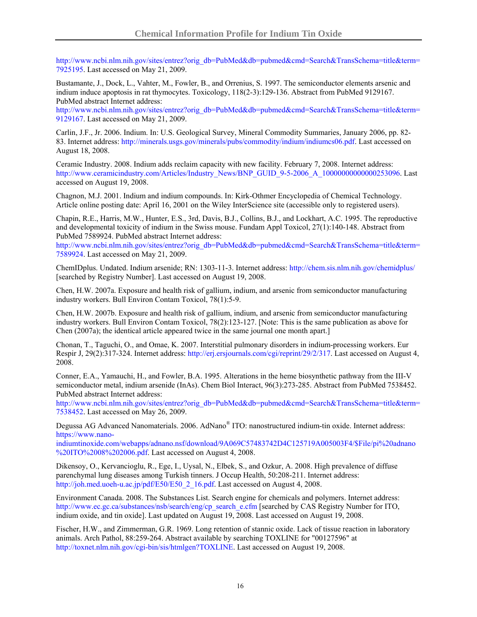[http://www.ncbi.nlm.nih.gov/sites/entrez?orig\\_db=PubMed&db=pubmed&cmd=Search&TransSchema=title&term=](http://www.ncbi.nlm.nih.gov/sites/entrez?orig_db=PubMed&db=pubmed&cmd=Search&TransSchema=title&term=7925195) [7925195.](http://www.ncbi.nlm.nih.gov/sites/entrez?orig_db=PubMed&db=pubmed&cmd=Search&TransSchema=title&term=7925195) Last accessed on May 21, 2009.

Bustamante, J., Dock, L., Vahter, M., Fowler, B., and Orrenius, S. 1997. The semiconductor elements arsenic and indium induce apoptosis in rat thymocytes. Toxicology, 118(2-3):129-136. Abstract from PubMed 9129167. PubMed abstract Internet address:

[http://www.ncbi.nlm.nih.gov/sites/entrez?orig\\_db=PubMed&db=pubmed&cmd=Search&TransSchema=title&term=](http://www.ncbi.nlm.nih.gov/sites/entrez?orig_db=PubMed&db=pubmed&cmd=Search&TransSchema=title&term=9129167) [9129167.](http://www.ncbi.nlm.nih.gov/sites/entrez?orig_db=PubMed&db=pubmed&cmd=Search&TransSchema=title&term=9129167) Last accessed on May 21, 2009.

Carlin, J.F., Jr. 2006. Indium. In: U.S. Geological Survey, Mineral Commodity Summaries, January 2006, pp. 82 83. Internet address: <http://minerals.usgs.gov/minerals/pubs/commodity/indium/indiumcs06.pdf>. Last accessed on August 18, 2008.

Ceramic Industry. 2008. Indium adds reclaim capacity with new facility. February 7, 2008. Internet address: http://www.ceramicindustry.com/Articles/Industry\_News/BNP\_GUID\_9-5-2006\_A\_100000000000000253096. Last accessed on August 19, 2008.

Chagnon, M.J. 2001. Indium and indium compounds. In: Kirk-Othmer Encyclopedia of Chemical Technology. Article online posting date: April 16, 2001 on the Wiley InterScience site (accessible only to registered users).

Chapin, R.E., Harris, M.W., Hunter, E.S., 3rd, Davis, B.J., Collins, B.J., and Lockhart, A.C. 1995. The reproductive and developmental toxicity of indium in the Swiss mouse. Fundam Appl Toxicol, 27(1):140-148. Abstract from PubMed 7589924. PubMed abstract Internet address:

[http://www.ncbi.nlm.nih.gov/sites/entrez?orig\\_db=PubMed&db=pubmed&cmd=Search&TransSchema=title&term=](http://www.ncbi.nlm.nih.gov/sites/entrez?orig_db=PubMed&db=pubmed&cmd=Search&TransSchema=title&term=7589924) [7589924.](http://www.ncbi.nlm.nih.gov/sites/entrez?orig_db=PubMed&db=pubmed&cmd=Search&TransSchema=title&term=7589924) Last accessed on May 21, 2009.

ChemIDplus. Undated. Indium arsenide; RN: 1303-11-3. Internet address: <http://chem.sis.nlm.nih.gov/chemidplus/> [searched by Registry Number]. Last accessed on August 19, 2008.

Chen, H.W. 2007a. Exposure and health risk of gallium, indium, and arsenic from semiconductor manufacturing industry workers. Bull Environ Contam Toxicol, 78(1):5-9.

Chen, H.W. 2007b. Exposure and health risk of gallium, indium, and arsenic from semiconductor manufacturing industry workers. Bull Environ Contam Toxicol, 78(2):123-127. [Note: This is the same publication as above for Chen (2007a); the identical article appeared twice in the same journal one month apart.]

Chonan, T., Taguchi, O., and Omae, K. 2007. Interstitial pulmonary disorders in indium-processing workers. Eur Respir J, 29(2):317-324. Internet address: [http://erj.ersjournals.com/cgi/reprint/29/2/317.](http://erj.ersjournals.com/cgi/reprint/29/2/317) Last accessed on August 4, 2008.

Conner, E.A., Yamauchi, H., and Fowler, B.A. 1995. Alterations in the heme biosynthetic pathway from the III-V semiconductor metal, indium arsenide (InAs). Chem Biol Interact, 96(3):273-285. Abstract from PubMed 7538452. PubMed abstract Internet address:

[http://www.ncbi.nlm.nih.gov/sites/entrez?orig\\_db=PubMed&db=pubmed&cmd=Search&TransSchema=title&term=](http://www.ncbi.nlm.nih.gov/sites/entrez?orig_db=PubMed&db=pubmed&cmd=Search&TransSchema=title&term=7538452) [7538452.](http://www.ncbi.nlm.nih.gov/sites/entrez?orig_db=PubMed&db=pubmed&cmd=Search&TransSchema=title&term=7538452) Last accessed on May 26, 2009.

Degussa AG Advanced Nanomaterials. 2006. AdNano® ITO: nanostructured indium-tin oxide. Internet address: [https://www.nano-](https://www.nano-indiumtinoxide.com/webapps/adnano.nsf/download/9A069C57483742D4C125719A005003F4/$File/pi%20adnano%20ITO%2008%202006.pdf)

[indiumtinoxide.com/webapps/adnano.nsf/download/9A069C57483742D4C125719A005003F4/\\$File/pi%20adnano](https://www.nano-indiumtinoxide.com/webapps/adnano.nsf/download/9A069C57483742D4C125719A005003F4/$File/pi%20adnano%20ITO%2008%202006.pdf) [%20ITO%2008%202006.pdf](https://www.nano-indiumtinoxide.com/webapps/adnano.nsf/download/9A069C57483742D4C125719A005003F4/$File/pi%20adnano%20ITO%2008%202006.pdf). Last accessed on August 4, 2008.

Dikensoy, O., Kervancioglu, R., Ege, I., Uysal, N., Elbek, S., and Ozkur, A. 2008. High prevalence of diffuse parenchymal lung diseases among Turkish tinners. J Occup Health, 50:208-211. Internet address: [http://joh.med.uoeh-u.ac.jp/pdf/E50/E50\\_2\\_16.pdf.](http://joh.med.uoeh-u.ac.jp/pdf/E50/E50_2_16.pdf) Last accessed on August 4, 2008.

Environment Canada. 2008. The Substances List. Search engine for chemicals and polymers. Internet address: [http://www.ec.gc.ca/substances/nsb/search/eng/cp\\_search\\_e.cfm](http://www.ec.gc.ca/substances/nsb/search/eng/cp_search_e.cfm) [searched by CAS Registry Number for ITO, indium oxide, and tin oxide]. Last updated on August 19, 2008. Last accessed on August 19, 2008.

Fischer, H.W., and Zimmerman, G.R. 1969. Long retention of stannic oxide. Lack of tissue reaction in laboratory animals. Arch Pathol, 88:259-264. Abstract available by searching TOXLINE for "00127596" at <http://toxnet.nlm.nih.gov/cgi-bin/sis/htmlgen?TOXLINE>. Last accessed on August 19, 2008.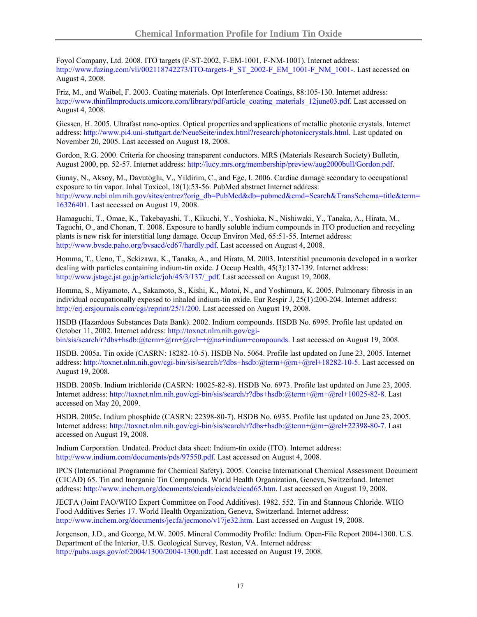Foyol Company, Ltd. 2008. ITO targets (F-ST-2002, F-EM-1001, F-NM-1001). Internet address: [http://www.fuzing.com/vli/002118742273/ITO-targets-F\\_ST\\_2002-F\\_EM\\_1001-F\\_NM\\_1001-.](http://www.fuzing.com/vli/002118742273/ITO-targets-F_ST_2002-F_EM_1001-F_NM_1001-) Last accessed on August 4, 2008.

Friz, M., and Waibel, F. 2003. Coating materials. Opt Interference Coatings, 88:105-130. Internet address: [http://www.thinfilmproducts.umicore.com/library/pdf/article\\_coating\\_materials\\_12june03.pdf](http://www.thinfilmproducts.umicore.com/library/pdf/article_coating_materials_12june03.pdf). Last accessed on August 4, 2008.

Giessen, H. 2005. Ultrafast nano-optics. Optical properties and applications of metallic photonic crystals. Internet address: [http://www.pi4.uni-stuttgart.de/NeueSeite/index.html?research/photoniccrystals.html.](http://www.pi4.uni-stuttgart.de/NeueSeite/index.html?research/photoniccrystals.html) Last updated on November 20, 2005. Last accessed on August 18, 2008.

Gordon, R.G. 2000. Criteria for choosing transparent conductors. MRS (Materials Research Society) Bulletin, August 2000, pp. 52-57. Internet address: <http://lucy.mrs.org/membership/preview/aug2000bull/Gordon.pdf>.

Gunay, N., Aksoy, M., Davutoglu, V., Yildirim, C., and Ege, I. 2006. Cardiac damage secondary to occupational exposure to tin vapor. Inhal Toxicol, 18(1):53-56. PubMed abstract Internet address: [http://www.ncbi.nlm.nih.gov/sites/entrez?orig\\_db=PubMed&db=pubmed&cmd=Search&TransSchema=title&term=](http://www.ncbi.nlm.nih.gov/sites/entrez?orig_db=PubMed&db=pubmed&cmd=Search&TransSchema=title&term=16326401) [16326401.](http://www.ncbi.nlm.nih.gov/sites/entrez?orig_db=PubMed&db=pubmed&cmd=Search&TransSchema=title&term=16326401) Last accessed on August 19, 2008.

Hamaguchi, T., Omae, K., Takebayashi, T., Kikuchi, Y., Yoshioka, N., Nishiwaki, Y., Tanaka, A., Hirata, M., Taguchi, O., and Chonan, T. 2008. Exposure to hardly soluble indium compounds in ITO production and recycling plants is new risk for interstitial lung damage. Occup Environ Med, 65:51-55. Internet address: <http://www.bvsde.paho.org/bvsacd/cd67/hardly.pdf>. Last accessed on August 4, 2008.

Homma, T., Ueno, T., Sekizawa, K., Tanaka, A., and Hirata, M. 2003. Interstitial pneumonia developed in a worker dealing with particles containing indium-tin oxide. J Occup Health, 45(3):137-139. Internet address: [http://www.jstage.jst.go.jp/article/joh/45/3/137/\\_pdf.](http://www.jstage.jst.go.jp/article/joh/45/3/137/_pdf) Last accessed on August 19, 2008.

Homma, S., Miyamoto, A., Sakamoto, S., Kishi, K., Motoi, N., and Yoshimura, K. 2005. Pulmonary fibrosis in an individual occupationally exposed to inhaled indium-tin oxide. Eur Respir J, 25(1):200-204. Internet address: <http://erj.ersjournals.com/cgi/reprint/25/1/200>. Last accessed on August 19, 2008.

HSDB (Hazardous Substances Data Bank). 2002. Indium compounds. HSDB No. 6995. Profile last updated on October 11, 2002. Internet address: [http://toxnet.nlm.nih.gov/cgi](http://toxnet.nlm.nih.gov/cgi-bin/sis/search/r?dbs+hsdb:@term+@rn+@rel++@na+indium+compounds)[bin/sis/search/r?dbs+hsdb:@term+@rn+@rel++@na+indium+compounds.](http://toxnet.nlm.nih.gov/cgi-bin/sis/search/r?dbs+hsdb:@term+@rn+@rel++@na+indium+compounds) Last accessed on August 19, 2008.

HSDB. 2005a. Tin oxide (CASRN: 18282-10-5). HSDB No. 5064. Profile last updated on June 23, 2005. Internet address: [http://toxnet.nlm.nih.gov/cgi-bin/sis/search/r?dbs+hsdb:@term+@rn+@rel+18282-10-5.](http://toxnet.nlm.nih.gov/cgi-bin/sis/search/r?dbs+hsdb:@term+@rn+@rel+18282-10-5) Last accessed on August 19, 2008.

HSDB. 2005b. Indium trichloride (CASRN: 10025-82-8). HSDB No. 6973. Profile last updated on June 23, 2005. Internet address: <http://toxnet.nlm.nih.gov/cgi-bin/sis/search/r?dbs+hsdb:@term+@rn+@rel+10025-82-8>. Last accessed on May 20, 2009.

HSDB. 2005c. Indium phosphide (CASRN: 22398-80-7). HSDB No. 6935. Profile last updated on June 23, 2005. Internet address: <http://toxnet.nlm.nih.gov/cgi-bin/sis/search/r?dbs+hsdb:@term+@rn+@rel+22398-80-7>. Last accessed on August 19, 2008.

Indium Corporation. Undated. Product data sheet: Indium-tin oxide (ITO). Internet address: <http://www.indium.com/documents/pds/97550.pdf>. Last accessed on August 4, 2008.

IPCS (International Programme for Chemical Safety). 2005. Concise International Chemical Assessment Document (CICAD) 65. Tin and Inorganic Tin Compounds. World Health Organization, Geneva, Switzerland. Internet address: [http://www.inchem.org/documents/cicads/cicads/cicad65.htm.](http://www.inchem.org/documents/cicads/cicads/cicad65.htm) Last accessed on August 19, 2008.

JECFA (Joint FAO/WHO Expert Committee on Food Additives). 1982. 552. Tin and Stannous Chloride. WHO Food Additives Series 17. World Health Organization, Geneva, Switzerland. Internet address: [http://www.inchem.org/documents/jecfa/jecmono/v17je32.htm.](http://www.inchem.org/documents/jecfa/jecmono/v17je32.htm) Last accessed on August 19, 2008.

Jorgenson, J.D., and George, M.W. 2005. Mineral Commodity Profile: Indium. Open-File Report 2004-1300. U.S. Department of the Interior, U.S. Geological Survey, Reston, VA. Internet address: <http://pubs.usgs.gov/of/2004/1300/2004-1300.pdf>. Last accessed on August 19, 2008.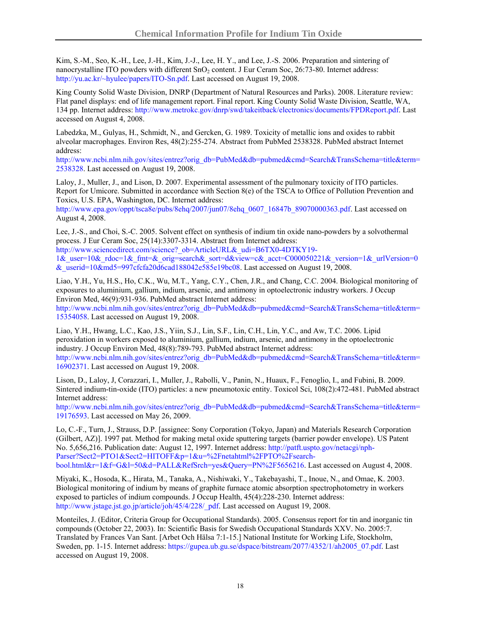Kim, S.-M., Seo, K.-H., Lee, J.-H., Kim, J.-J., Lee, H. Y., and Lee, J.-S. 2006. Preparation and sintering of nanocrystalline ITO powders with different SnO<sub>2</sub> content. J Eur Ceram Soc, 26:73-80. Internet address: [http://yu.ac.kr/~hyulee/papers/ITO-Sn.pdf.](http://yu.ac.kr/%7Ehyulee/papers/ITO-Sn.pdf) Last accessed on August 19, 2008.

King County Solid Waste Division, DNRP (Department of Natural Resources and Parks). 2008. Literature review: Flat panel displays: end of life management report. Final report. King County Solid Waste Division, Seattle, WA, 134 pp. Internet address: [http://www.metrokc.gov/dnrp/swd/takeitback/electronics/documents/FPDReport.pdf.](http://www.metrokc.gov/dnrp/swd/takeitback/electronics/documents/FPDReport.pdf) Last accessed on August 4, 2008.

Labedzka, M., Gulyas, H., Schmidt, N., and Gercken, G. 1989. Toxicity of metallic ions and oxides to rabbit alveolar macrophages. Environ Res, 48(2):255-274. Abstract from PubMed 2538328. PubMed abstract Internet address:

[http://www.ncbi.nlm.nih.gov/sites/entrez?orig\\_db=PubMed&db=pubmed&cmd=Search&TransSchema=title&term=](http://www.ncbi.nlm.nih.gov/sites/entrez?orig_db=PubMed&db=pubmed&cmd=Search&TransSchema=title&term=2538328) [2538328.](http://www.ncbi.nlm.nih.gov/sites/entrez?orig_db=PubMed&db=pubmed&cmd=Search&TransSchema=title&term=2538328) Last accessed on August 19, 2008.

Laloy, J., Muller, J., and Lison, D. 2007. Experimental assessment of the pulmonary toxicity of ITO particles. Report for Umicore. Submitted in accordance with Section 8(e) of the TSCA to Office of Pollution Prevention and Toxics, U.S. EPA, Washington, DC. Internet address:

[http://www.epa.gov/oppt/tsca8e/pubs/8ehq/2007/jun07/8ehq\\_0607\\_16847b\\_89070000363.pdf](http://www.epa.gov/oppt/tsca8e/pubs/8ehq/2007/jun07/8ehq_0607_16847b_89070000363.pdf). Last accessed on August 4, 2008.

Lee, J.-S., and Choi, S.-C. 2005. Solvent effect on synthesis of indium tin oxide nano-powders by a solvothermal process. J Eur Ceram Soc, 25(14):3307-3314. Abstract from Internet address:

http://www.sciencedirect.com/science? ob=ArticleURL&\_udi=B6TX0-4DTKY19- $1\&$  user=10& rdoc=1& fmt=& orig=search& sort=d&view=c& acct=C000050221& version=1& urlVersion=0 [&\\_userid=10&md5=997cfcfa20d6cad188042e585e19bc08](http://www.sciencedirect.com/science?_ob=ArticleURL&_udi=B6TX0-4DTKY19-1&_user=10&_rdoc=1&_fmt=&_orig=search&_sort=d&view=c&_acct=C000050221&_version=1&_urlVersion=0&_userid=10&md5=997cfcfa20d6cad188042e585e19bc08). Last accessed on August 19, 2008.

Liao, Y.H., Yu, H.S., Ho, C.K., Wu, M.T., Yang, C.Y., Chen, J.R., and Chang, C.C. 2004. Biological monitoring of exposures to aluminium, gallium, indium, arsenic, and antimony in optoelectronic industry workers. J Occup Environ Med, 46(9):931-936. PubMed abstract Internet address:

[http://www.ncbi.nlm.nih.gov/sites/entrez?orig\\_db=PubMed&db=pubmed&cmd=Search&TransSchema=title&term=](http://www.ncbi.nlm.nih.gov/sites/entrez?orig_db=PubMed&db=pubmed&cmd=Search&TransSchema=title&term=15354058) [15354058](http://www.ncbi.nlm.nih.gov/sites/entrez?orig_db=PubMed&db=pubmed&cmd=Search&TransSchema=title&term=15354058). Last accessed on August 19, 2008.

Liao, Y.H., Hwang, L.C., Kao, J.S., Yiin, S.J., Lin, S.F., Lin, C.H., Lin, Y.C., and Aw, T.C. 2006. Lipid peroxidation in workers exposed to aluminium, gallium, indium, arsenic, and antimony in the optoelectronic industry. J Occup Environ Med, 48(8):789-793. PubMed abstract Internet address: [http://www.ncbi.nlm.nih.gov/sites/entrez?orig\\_db=PubMed&db=pubmed&cmd=Search&TransSchema=title&term=](http://www.ncbi.nlm.nih.gov/sites/entrez?orig_db=PubMed&db=pubmed&cmd=Search&TransSchema=title&term=16902371) [16902371](http://www.ncbi.nlm.nih.gov/sites/entrez?orig_db=PubMed&db=pubmed&cmd=Search&TransSchema=title&term=16902371). Last accessed on August 19, 2008.

Lison, D., Laloy, J, Corazzari, I., Muller, J., Rabolli, V., Panin, N., Huaux, F., Fenoglio, I., and Fubini, B. 2009. Sintered indium-tin-oxide (ITO) particles: a new pneumotoxic entity. Toxicol Sci, 108(2):472-481. PubMed abstract Internet address:

[http://www.ncbi.nlm.nih.gov/sites/entrez?orig\\_db=PubMed&db=pubmed&cmd=Search&TransSchema=title&term=](http://www.ncbi.nlm.nih.gov/sites/entrez?orig_db=PubMed&db=pubmed&cmd=Search&TransSchema=title&term=19176593) [19176593](http://www.ncbi.nlm.nih.gov/sites/entrez?orig_db=PubMed&db=pubmed&cmd=Search&TransSchema=title&term=19176593). Last accessed on May 26, 2009.

Lo, C.-F., Turn, J., Strauss, D.P. [assignee: Sony Corporation (Tokyo, Japan) and Materials Research Corporation (Gilbert, AZ)]. 1997 pat. Method for making metal oxide sputtering targets (barrier powder envelope). US Patent No. 5,656,216. Publication date: August 12, 1997. Internet address: [http://patft.uspto.gov/netacgi/nph-](http://patft.uspto.gov/netacgi/nph-Parser?Sect2=PTO1&Sect2=HITOFF&p=1&u=%2Fnetahtml%2FPTO%2Fsearch-bool.html&r=1&f=G&l=50&d=PALL&RefSrch=yes&Query=PN%2F5656216)[Parser?Sect2=PTO1&Sect2=HITOFF&p=1&u=%2Fnetahtml%2FPTO%2Fsearch](http://patft.uspto.gov/netacgi/nph-Parser?Sect2=PTO1&Sect2=HITOFF&p=1&u=%2Fnetahtml%2FPTO%2Fsearch-bool.html&r=1&f=G&l=50&d=PALL&RefSrch=yes&Query=PN%2F5656216)[bool.html&r=1&f=G&l=50&d=PALL&RefSrch=yes&Query=PN%2F5656216.](http://patft.uspto.gov/netacgi/nph-Parser?Sect2=PTO1&Sect2=HITOFF&p=1&u=%2Fnetahtml%2FPTO%2Fsearch-bool.html&r=1&f=G&l=50&d=PALL&RefSrch=yes&Query=PN%2F5656216) Last accessed on August 4, 2008.

Miyaki, K., Hosoda, K., Hirata, M., Tanaka, A., Nishiwaki, Y., Takebayashi, T., Inoue, N., and Omae, K. 2003. Biological monitoring of indium by means of graphite furnace atomic absorption spectrophotometry in workers exposed to particles of indium compounds. J Occup Health, 45(4):228-230. Internet address: [http://www.jstage.jst.go.jp/article/joh/45/4/228/\\_pdf.](http://www.jstage.jst.go.jp/article/joh/45/4/228/_pdf) Last accessed on August 19, 2008.

Monteiles, J. (Editor, Criteria Group for Occupational Standards). 2005. Consensus report for tin and inorganic tin compounds (October 22, 2003). In: Scientific Basis for Swedish Occupational Standards XXV. No. 2005:7. Translated by Frances Van Sant. [Arbet Och Hälsa 7:1-15.] National Institute for Working Life, Stockholm, Sweden, pp. 1-15. Internet address: [https://gupea.ub.gu.se/dspace/bitstream/2077/4352/1/ah2005\\_07.pdf.](https://gupea.ub.gu.se/dspace/bitstream/2077/4352/1/ah2005_07.pdf) Last accessed on August 19, 2008.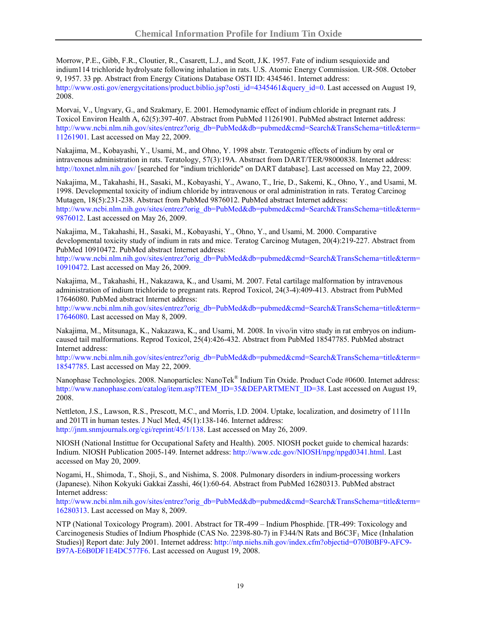Morrow, P.E., Gibb, F.R., Cloutier, R., Casarett, L.J., and Scott, J.K. 1957. Fate of indium sesquioxide and indium114 trichloride hydrolysate following inhalation in rats. U.S. Atomic Energy Commission. UR-508. October 9, 1957. 33 pp. Abstract from Energy Citations Database OSTI ID: 4345461. Internet address: [http://www.osti.gov/energycitations/product.biblio.jsp?osti\\_id=4345461&query\\_id=0](http://www.osti.gov/energycitations/product.biblio.jsp?osti_id=4345461&query_id=0). Last accessed on August 19, 2008.

Morvai, V., Ungvary, G., and Szakmary, E. 2001. Hemodynamic effect of indium chloride in pregnant rats. J Toxicol Environ Health A, 62(5):397-407. Abstract from PubMed 11261901. PubMed abstract Internet address: [http://www.ncbi.nlm.nih.gov/sites/entrez?orig\\_db=PubMed&db=pubmed&cmd=Search&TransSchema=title&term=](http://www.ncbi.nlm.nih.gov/sites/entrez?orig_db=PubMed&db=pubmed&cmd=Search&TransSchema=title&term=11261901) [11261901](http://www.ncbi.nlm.nih.gov/sites/entrez?orig_db=PubMed&db=pubmed&cmd=Search&TransSchema=title&term=11261901). Last accessed on May 22, 2009.

Nakajima, M., Kobayashi, Y., Usami, M., and Ohno, Y. 1998 abstr. Teratogenic effects of indium by oral or intravenous administration in rats. Teratology, 57(3):19A. Abstract from DART/TER/98000838. Internet address: <http://toxnet.nlm.nih.gov/>[searched for "indium trichloride" on DART database]. Last accessed on May 22, 2009.

Nakajima, M., Takahashi, H., Sasaki, M., Kobayashi, Y., Awano, T., Irie, D., Sakemi, K., Ohno, Y., and Usami, M. 1998. Developmental toxicity of indium chloride by intravenous or oral administration in rats. Teratog Carcinog Mutagen, 18(5):231-238. Abstract from PubMed 9876012. PubMed abstract Internet address: [http://www.ncbi.nlm.nih.gov/sites/entrez?orig\\_db=PubMed&db=pubmed&cmd=Search&TransSchema=title&term=](http://www.ncbi.nlm.nih.gov/sites/entrez?orig_db=PubMed&db=pubmed&cmd=Search&TransSchema=title&term=9876012) [9876012](http://www.ncbi.nlm.nih.gov/sites/entrez?orig_db=PubMed&db=pubmed&cmd=Search&TransSchema=title&term=9876012). Last accessed on May 26, 2009.

Nakajima, M., Takahashi, H., Sasaki, M., Kobayashi, Y., Ohno, Y., and Usami, M. 2000. Comparative developmental toxicity study of indium in rats and mice. Teratog Carcinog Mutagen, 20(4):219-227. Abstract from PubMed 10910472. PubMed abstract Internet address:

[http://www.ncbi.nlm.nih.gov/sites/entrez?orig\\_db=PubMed&db=pubmed&cmd=Search&TransSchema=title&term=](http://www.ncbi.nlm.nih.gov/sites/entrez?orig_db=PubMed&db=pubmed&cmd=Search&TransSchema=title&term=10910472) [10910472](http://www.ncbi.nlm.nih.gov/sites/entrez?orig_db=PubMed&db=pubmed&cmd=Search&TransSchema=title&term=10910472). Last accessed on May 26, 2009.

Nakajima, M., Takahashi, H., Nakazawa, K., and Usami, M. 2007. Fetal cartilage malformation by intravenous administration of indium trichloride to pregnant rats. Reprod Toxicol, 24(3-4):409-413. Abstract from PubMed 17646080. PubMed abstract Internet address:

[http://www.ncbi.nlm.nih.gov/sites/entrez?orig\\_db=PubMed&db=pubmed&cmd=Search&TransSchema=title&term=](http://www.ncbi.nlm.nih.gov/sites/entrez?orig_db=PubMed&db=pubmed&cmd=Search&TransSchema=title&term=17646080) [17646080](http://www.ncbi.nlm.nih.gov/sites/entrez?orig_db=PubMed&db=pubmed&cmd=Search&TransSchema=title&term=17646080). Last accessed on May 8, 2009.

Nakajima, M., Mitsunaga, K., Nakazawa, K., and Usami, M. 2008. In vivo/in vitro study in rat embryos on indiumcaused tail malformations. Reprod Toxicol, 25(4):426-432. Abstract from PubMed 18547785. PubMed abstract Internet address:

[http://www.ncbi.nlm.nih.gov/sites/entrez?orig\\_db=PubMed&db=pubmed&cmd=Search&TransSchema=title&term=](http://www.ncbi.nlm.nih.gov/sites/entrez?orig_db=PubMed&db=pubmed&cmd=Search&TransSchema=title&term=18547785) [18547785](http://www.ncbi.nlm.nih.gov/sites/entrez?orig_db=PubMed&db=pubmed&cmd=Search&TransSchema=title&term=18547785). Last accessed on May 22, 2009.

Nanophase Technologies. 2008. Nanoparticles: NanoTek® Indium Tin Oxide. Product Code #0600. Internet address: [http://www.nanophase.com/catalog/item.asp?ITEM\\_ID=35&DEPARTMENT\\_ID=38](http://www.nanophase.com/catalog/item.asp?ITEM_ID=35&DEPARTMENT_ID=38). Last accessed on August 19, 2008.

Nettleton, J.S., Lawson, R.S., Prescott, M.C., and Morris, I.D. 2004. Uptake, localization, and dosimetry of 111In and 201Tl in human testes. J Nucl Med, 45(1):138-146. Internet address: <http://jnm.snmjournals.org/cgi/reprint/45/1/138>. Last accessed on May 26, 2009.

NIOSH (National Instittue for Occupational Safety and Health). 2005. NIOSH pocket guide to chemical hazards: Indium. NIOSH Publication 2005-149. Internet address:<http://www.cdc.gov/NIOSH/npg/npgd0341.html>. Last accessed on May 20, 2009.

Nogami, H., Shimoda, T., Shoji, S., and Nishima, S. 2008. Pulmonary disorders in indium-processing workers (Japanese). Nihon Kokyuki Gakkai Zasshi, 46(1):60-64. Abstract from PubMed 16280313. PubMed abstract Internet address:

[http://www.ncbi.nlm.nih.gov/sites/entrez?orig\\_db=PubMed&db=pubmed&cmd=Search&TransSchema=title&term=](http://www.ncbi.nlm.nih.gov/sites/entrez?orig_db=PubMed&db=pubmed&cmd=Search&TransSchema=title&term=16280313) [16280313](http://www.ncbi.nlm.nih.gov/sites/entrez?orig_db=PubMed&db=pubmed&cmd=Search&TransSchema=title&term=16280313). Last accessed on May 8, 2009.

NTP (National Toxicology Program). 2001. Abstract for TR-499 – Indium Phosphide. [TR-499: Toxicology and Carcinogenesis Studies of Indium Phosphide (CAS No. 22398-80-7) in F344/N Rats and B6C3F<sub>1</sub> Mice (Inhalation Studies)] Report date: July 2001. Internet address: [http://ntp.niehs.nih.gov/index.cfm?objectid=070B0BF9-AFC9-](http://ntp.niehs.nih.gov/index.cfm?objectid=070B0BF9-AFC9-B97A-E6B0DF1E4DC577F6) [B97A-E6B0DF1E4DC577F6](http://ntp.niehs.nih.gov/index.cfm?objectid=070B0BF9-AFC9-B97A-E6B0DF1E4DC577F6). Last accessed on August 19, 2008.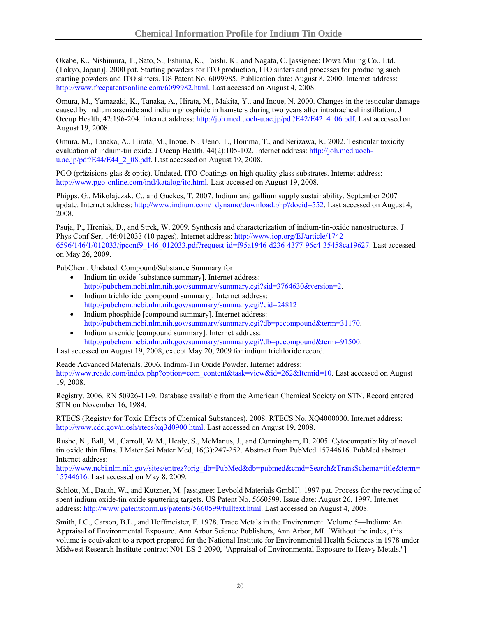Okabe, K., Nishimura, T., Sato, S., Eshima, K., Toishi, K., and Nagata, C. [assignee: Dowa Mining Co., Ltd. (Tokyo, Japan)]. 2000 pat. Starting powders for ITO production, ITO sinters and processes for producing such starting powders and ITO sinters. US Patent No. 6099985. Publication date: August 8, 2000. Internet address: <http://www.freepatentsonline.com/6099982.html>. Last accessed on August 4, 2008.

Omura, M., Yamazaki, K., Tanaka, A., Hirata, M., Makita, Y., and Inoue, N. 2000. Changes in the testicular damage caused by indium arsenide and indium phosphide in hamsters during two years after intratracheal instillation. J Occup Health, 42:196-204. Internet address: [http://joh.med.uoeh-u.ac.jp/pdf/E42/E42\\_4\\_06.pdf](http://joh.med.uoeh-u.ac.jp/pdf/E42/E42_4_06.pdf). Last accessed on August 19, 2008.

Omura, M., Tanaka, A., Hirata, M., Inoue, N., Ueno, T., Homma, T., and Serizawa, K. 2002. Testicular toxicity evaluation of indium-tin oxide. J Occup Health, 44(2):105-102. Internet address: [http://joh.med.uoeh](http://joh.med.uoeh-u.ac.jp/pdf/E44/E44_2_08.pdf)[u.ac.jp/pdf/E44/E44\\_2\\_08.pdf](http://joh.med.uoeh-u.ac.jp/pdf/E44/E44_2_08.pdf). Last accessed on August 19, 2008.

PGO (präzisions glas & optic). Undated. ITO-Coatings on high quality glass substrates. Internet address: [http://www.pgo-online.com/intl/katalog/ito.html.](http://www.pgo-online.com/intl/katalog/ito.html) Last accessed on August 19, 2008.

Phipps, G., Mikolajczak, C., and Guckes, T. 2007. Indium and gallium supply sustainability. September 2007 update. Internet address: [http://www.indium.com/\\_dynamo/download.php?docid=552.](http://www.indium.com/_dynamo/download.php?docid=552) Last accessed on August 4, 2008.

Psuja, P., Hreniak, D., and Strek, W. 2009. Synthesis and characterization of indium-tin-oxide nanostructures. J Phys Conf Ser, 146:012033 (10 pages). Internet address: [http://www.iop.org/EJ/article/1742-](http://www.iop.org/EJ/article/1742-6596/146/1/012033/jpconf9_146_012033.pdf?request-id=f95a1946-d236-4377-96c4-35458ca19627) [6596/146/1/012033/jpconf9\\_146\\_012033.pdf?request-id=f95a1946-d236-4377-96c4-35458ca19627.](http://www.iop.org/EJ/article/1742-6596/146/1/012033/jpconf9_146_012033.pdf?request-id=f95a1946-d236-4377-96c4-35458ca19627) Last accessed on May 26, 2009.

PubChem. Undated. Compound/Substance Summary for

- Indium tin oxide [substance summary]. Internet address: <http://pubchem.ncbi.nlm.nih.gov/summary/summary.cgi?sid=3764630&version=2>.
- Indium trichloride [compound summary]. Internet address: [http://pubchem.ncbi.nlm.nih.gov/summary/summary.cgi?cid=24812](http://pubchem.ncbi.nlm.nih.gov/summary/summary.cgi?cid=24812&lo)
- Indium phosphide [compound summary]. Internet address: <http://pubchem.ncbi.nlm.nih.gov/summary/summary.cgi?db=pccompound&term=31170>.
- Indium arsenide [compound summary]. Internet address: <http://pubchem.ncbi.nlm.nih.gov/summary/summary.cgi?db=pccompound&term=91500>.

Last accessed on August 19, 2008, except May 20, 2009 for indium trichloride record.

Reade Advanced Materials. 2006. Indium-Tin Oxide Powder. Internet address: [http://www.reade.com/index.php?option=com\\_content&task=view&id=262&Itemid=10.](http://www.reade.com/index.php?option=com_content&task=view&id=262&Itemid=10) Last accessed on August 19, 2008.

Registry. 2006. RN 50926-11-9. Database available from the American Chemical Society on STN. Record entered STN on November 16, 1984.

RTECS (Registry for Toxic Effects of Chemical Substances). 2008. RTECS No. XQ4000000. Internet address: <http://www.cdc.gov/niosh/rtecs/xq3d0900.html>. Last accessed on August 19, 2008.

Rushe, N., Ball, M., Carroll, W.M., Healy, S., McManus, J., and Cunningham, D. 2005. Cytocompatibility of novel tin oxide thin films. J Mater Sci Mater Med, 16(3):247-252. Abstract from PubMed 15744616. PubMed abstract Internet address:

[http://www.ncbi.nlm.nih.gov/sites/entrez?orig\\_db=PubMed&db=pubmed&cmd=Search&TransSchema=title&term=](http://www.ncbi.nlm.nih.gov/sites/entrez?orig_db=PubMed&db=pubmed&cmd=Search&TransSchema=title&term=15744616) [15744616](http://www.ncbi.nlm.nih.gov/sites/entrez?orig_db=PubMed&db=pubmed&cmd=Search&TransSchema=title&term=15744616). Last accessed on May 8, 2009.

Schlott, M., Dauth, W., and Kutzner, M. [assignee: Leybold Materials GmbH]. 1997 pat. Process for the recycling of spent indium oxide-tin oxide sputtering targets. US Patent No. 5660599. Issue date: August 26, 1997. Internet address:<http://www.patentstorm.us/patents/5660599/fulltext.html>. Last accessed on August 4, 2008.

Smith, I.C., Carson, B.L., and Hoffmeister, F. 1978. Trace Metals in the Environment. Volume 5—Indium: An Appraisal of Environmental Exposure. Ann Arbor Science Publishers, Ann Arbor, MI. [Without the index, this volume is equivalent to a report prepared for the National Institute for Environmental Health Sciences in 1978 under Midwest Research Institute contract N01-ES-2-2090, "Appraisal of Environmental Exposure to Heavy Metals."]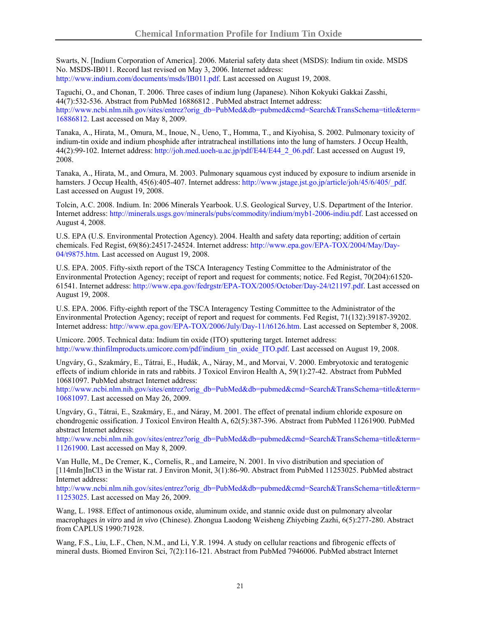Swarts, N. [Indium Corporation of America]. 2006. Material safety data sheet (MSDS): Indium tin oxide. MSDS No. MSDS-IB011. Record last revised on May 3, 2006. Internet address: <http://www.indium.com/documents/msds/IB011.pdf>. Last accessed on August 19, 2008.

Taguchi, O., and Chonan, T. 2006. Three cases of indium lung (Japanese). Nihon Kokyuki Gakkai Zasshi, 44(7):532-536. Abstract from PubMed 16886812 . PubMed abstract Internet address: [http://www.ncbi.nlm.nih.gov/sites/entrez?orig\\_db=PubMed&db=pubmed&cmd=Search&TransSchema=title&term=](http://www.ncbi.nlm.nih.gov/sites/entrez?orig_db=PubMed&db=pubmed&cmd=Search&TransSchema=title&term=16886812) [16886812](http://www.ncbi.nlm.nih.gov/sites/entrez?orig_db=PubMed&db=pubmed&cmd=Search&TransSchema=title&term=16886812). Last accessed on May 8, 2009.

Tanaka, A., Hirata, M., Omura, M., Inoue, N., Ueno, T., Homma, T., and Kiyohisa, S. 2002. Pulmonary toxicity of indium-tin oxide and indium phosphide after intratracheal instillations into the lung of hamsters. J Occup Health, 44(2):99-102. Internet address: [http://joh.med.uoeh-u.ac.jp/pdf/E44/E44\\_2\\_06.pdf.](http://joh.med.uoeh-u.ac.jp/pdf/E44/E44_2_06.pdf) Last accessed on August 19, 2008.

Tanaka, A., Hirata, M., and Omura, M. 2003. Pulmonary squamous cyst induced by exposure to indium arsenide in hamsters. J Occup Health, 45(6):405-407. Internet address: [http://www.jstage.jst.go.jp/article/joh/45/6/405/\\_pdf.](http://www.jstage.jst.go.jp/article/joh/45/6/405/_pdf) Last accessed on August 19, 2008.

Tolcin, A.C. 2008. Indium. In: 2006 Minerals Yearbook. U.S. Geological Survey, U.S. Department of the Interior. Internet address: [http://minerals.usgs.gov/minerals/pubs/commodity/indium/myb1-2006-indiu.pdf.](http://minerals.usgs.gov/minerals/pubs/commodity/indium/myb1-2006-indiu.pdf) Last accessed on August 4, 2008.

U.S. EPA (U.S. Environmental Protection Agency). 2004. Health and safety data reporting; addition of certain chemicals. Fed Regist, 69(86):24517-24524. Internet address: [http://www.epa.gov/EPA-TOX/2004/May/Day-](http://www.epa.gov/EPA-TOX/2004/May/Day-04/t9875.htm)[04/t9875.htm.](http://www.epa.gov/EPA-TOX/2004/May/Day-04/t9875.htm) Last accessed on August 19, 2008.

U.S. EPA. 2005. Fifty-sixth report of the TSCA Interagency Testing Committee to the Administrator of the Environmental Protection Agency; receipt of report and request for comments; notice. Fed Regist, 70(204):61520- 61541. Internet address: [http://www.epa.gov/fedrgstr/EPA-TOX/2005/October/Day-24/t21197.pdf.](http://www.epa.gov/fedrgstr/EPA-TOX/2005/October/Day-24/t21197.pdf) Last accessed on August 19, 2008.

U.S. EPA. 2006. Fifty-eighth report of the TSCA Interagency Testing Committee to the Administrator of the Environmental Protection Agency; receipt of report and request for comments. Fed Regist, 71(132):39187-39202. Internet address: <http://www.epa.gov/EPA-TOX/2006/July/Day-11/t6126.htm>. Last accessed on September 8, 2008.

Umicore. 2005. Technical data: Indium tin oxide (ITO) sputtering target. Internet address: [http://www.thinfilmproducts.umicore.com/pdf/indium\\_tin\\_oxide\\_ITO.pdf](http://www.thinfilmproducts.umicore.com/pdf/indium_tin_oxide_ITO.pdf). Last accessed on August 19, 2008.

Ungváry, G., Szakmáry, E., Tátrai, E., Hudák, A., Náray, M., and Morvai, V. 2000. Embryotoxic and teratogenic effects of indium chloride in rats and rabbits. J Toxicol Environ Health A, 59(1):27-42. Abstract from PubMed 10681097. PubMed abstract Internet address:

[http://www.ncbi.nlm.nih.gov/sites/entrez?orig\\_db=PubMed&db=pubmed&cmd=Search&TransSchema=title&term=](http://www.ncbi.nlm.nih.gov/sites/entrez?orig_db=PubMed&db=pubmed&cmd=Search&TransSchema=title&term=10681097) [10681097.](http://www.ncbi.nlm.nih.gov/sites/entrez?orig_db=PubMed&db=pubmed&cmd=Search&TransSchema=title&term=10681097) Last accessed on May 26, 2009.

Ungváry, G., Tátrai, E., Szakmáry, E., and Náray, M. 2001. The effect of prenatal indium chloride exposure on chondrogenic ossification. J Toxicol Environ Health A, 62(5):387-396. Abstract from PubMed 11261900. PubMed abstract Internet address:

[http://www.ncbi.nlm.nih.gov/sites/entrez?orig\\_db=PubMed&db=pubmed&cmd=Search&TransSchema=title&term=](http://www.ncbi.nlm.nih.gov/sites/entrez?orig_db=PubMed&db=pubmed&cmd=Search&TransSchema=title&term=11261900) [11261900.](http://www.ncbi.nlm.nih.gov/sites/entrez?orig_db=PubMed&db=pubmed&cmd=Search&TransSchema=title&term=11261900) Last accessed on May 8, 2009.

Van Hulle, M., De Cremer, K., Cornelis, R., and Lameire, N. 2001. In vivo distribution and speciation of [114mIn]InCl3 in the Wistar rat. J Environ Monit, 3(1):86-90. Abstract from PubMed 11253025. PubMed abstract Internet address:

[http://www.ncbi.nlm.nih.gov/sites/entrez?orig\\_db=PubMed&db=pubmed&cmd=Search&TransSchema=title&term=](http://www.ncbi.nlm.nih.gov/sites/entrez?orig_db=PubMed&db=pubmed&cmd=Search&TransSchema=title&term=11253025) [11253025.](http://www.ncbi.nlm.nih.gov/sites/entrez?orig_db=PubMed&db=pubmed&cmd=Search&TransSchema=title&term=11253025) Last accessed on May 26, 2009.

Wang, L. 1988. Effect of antimonous oxide, aluminum oxide, and stannic oxide dust on pulmonary alveolar macrophages *in vitro* and *in vivo* (Chinese). Zhongua Laodong Weisheng Zhiyebing Zazhi, 6(5):277-280. Abstract from CAPLUS 1990:71928.

Wang, F.S., Liu, L.F., Chen, N.M., and Li, Y.R. 1994. A study on cellular reactions and fibrogenic effects of mineral dusts. Biomed Environ Sci, 7(2):116-121. Abstract from PubMed 7946006. PubMed abstract Internet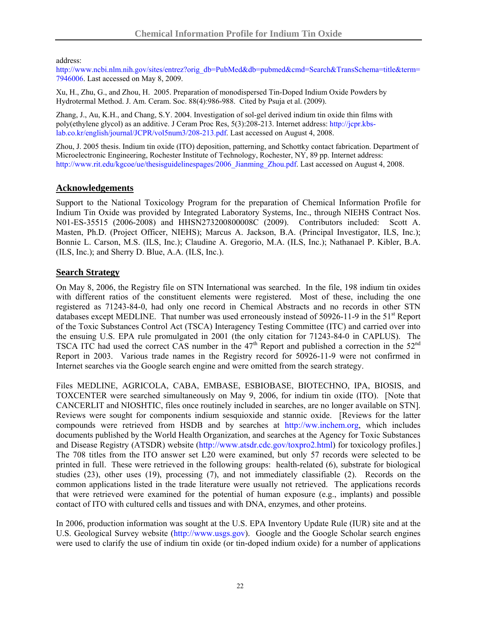address:

[http://www.ncbi.nlm.nih.gov/sites/entrez?orig\\_db=PubMed&db=pubmed&cmd=Search&TransSchema=title&term=](http://www.ncbi.nlm.nih.gov/sites/entrez?orig_db=PubMed&db=pubmed&cmd=Search&TransSchema=title&term=7946006) [7946006.](http://www.ncbi.nlm.nih.gov/sites/entrez?orig_db=PubMed&db=pubmed&cmd=Search&TransSchema=title&term=7946006) Last accessed on May 8, 2009.

Xu, H., Zhu, G., and Zhou, H. 2005. Preparation of monodispersed Tin-Doped Indium Oxide Powders by Hydrotermal Method. J. Am. Ceram. Soc. 88(4):986-988. Cited by Psuja et al. (2009).

Zhang, J., Au, K.H., and Chang, S.Y. 2004. Investigation of sol-gel derived indium tin oxide thin films with poly(ethylene glycol) as an additive. J Ceram Proc Res, 5(3):208-213. Internet address: [http://jcpr.kbs](http://jcpr.kbs-lab.co.kr/english/journal/JCPR/vol5num3/208-213.pdf)[lab.co.kr/english/journal/JCPR/vol5num3/208-213.pdf.](http://jcpr.kbs-lab.co.kr/english/journal/JCPR/vol5num3/208-213.pdf) Last accessed on August 4, 2008.

Zhou, J. 2005 thesis. Indium tin oxide (ITO) deposition, patterning, and Schottky contact fabrication. Department of Microelectronic Engineering, Rochester Institute of Technology, Rochester, NY, 89 pp. Internet address: [http://www.rit.edu/kgcoe/ue/thesisguidelinespages/2006\\_Jianming\\_Zhou.pdf.](http://www.rit.edu/kgcoe/ue/thesisguidelinespages/2006_Jianming_Zhou.pdf) Last accessed on August 4, 2008.

## **Acknowledgements**

Support to the National Toxicology Program for the preparation of Chemical Information Profile for Indium Tin Oxide was provided by Integrated Laboratory Systems, Inc., through NIEHS Contract Nos. N01-ES-35515 (2006-2008) and HHSN273200800008C (2009). Contributors included: Scott A. Masten, Ph.D. (Project Officer, NIEHS); Marcus A. Jackson, B.A. (Principal Investigator, ILS, Inc.); Bonnie L. Carson, M.S. (ILS, Inc.); Claudine A. Gregorio, M.A. (ILS, Inc.); Nathanael P. Kibler, B.A. (ILS, Inc.); and Sherry D. Blue, A.A. (ILS, Inc.).

## **Search Strategy**

On May 8, 2006, the Registry file on STN International was searched. In the file, 198 indium tin oxides with different ratios of the constituent elements were registered. Most of these, including the one registered as 71243-84-0, had only one record in Chemical Abstracts and no records in other STN databases except MEDLINE. That number was used erroneously instead of  $50926-11-9$  in the  $51<sup>st</sup>$  Report of the Toxic Substances Control Act (TSCA) Interagency Testing Committee (ITC) and carried over into the ensuing U.S. EPA rule promulgated in 2001 (the only citation for 71243-84-0 in CAPLUS). The TSCA ITC had used the correct CAS number in the  $47<sup>th</sup>$  Report and published a correction in the  $52<sup>nd</sup>$ Report in 2003. Various trade names in the Registry record for 50926-11-9 were not confirmed in Internet searches via the Google search engine and were omitted from the search strategy.

Files MEDLINE, AGRICOLA, CABA, EMBASE, ESBIOBASE, BIOTECHNO, IPA, BIOSIS, and TOXCENTER were searched simultaneously on May 9, 2006, for indium tin oxide (ITO). [Note that CANCERLIT and NIOSHTIC, files once routinely included in searches, are no longer available on STN]. Reviews were sought for components indium sesquioxide and stannic oxide. [Reviews for the latter compounds were retrieved from HSDB and by searches at [http://ww.inchem.org](http://ww.inchem.org/), which includes documents published by the World Health Organization, and searches at the Agency for Toxic Substances and Disease Registry (ATSDR) website [\(http://www.atsdr.cdc.gov/toxpro2.html](http://www.atsdr.cdc.gov/toxpro2.html)) for toxicology profiles.] The 708 titles from the ITO answer set L20 were examined, but only 57 records were selected to be printed in full. These were retrieved in the following groups: health-related (6), substrate for biological studies (23), other uses (19), processing (7), and not immediately classifiable (2). Records on the common applications listed in the trade literature were usually not retrieved. The applications records that were retrieved were examined for the potential of human exposure (e.g., implants) and possible contact of ITO with cultured cells and tissues and with DNA, enzymes, and other proteins.

In 2006, production information was sought at the U.S. EPA Inventory Update Rule (IUR) site and at the U.S. Geological Survey website ([http://www.usgs.gov\)](http://www.usgs.gov/). Google and the Google Scholar search engines were used to clarify the use of indium tin oxide (or tin-doped indium oxide) for a number of applications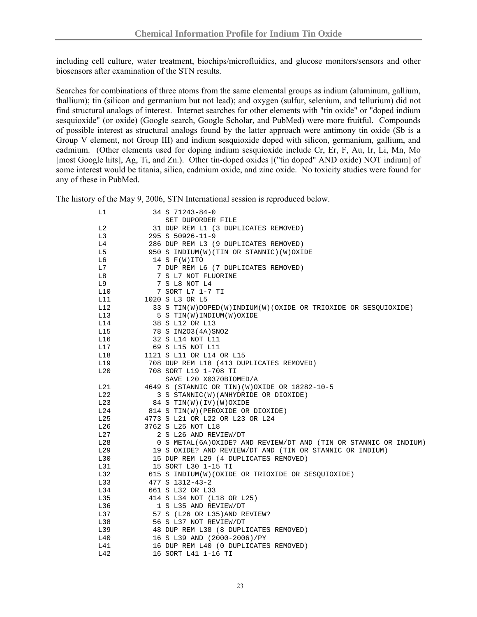including cell culture, water treatment, biochips/microfluidics, and glucose monitors/sensors and other biosensors after examination of the STN results.

Searches for combinations of three atoms from the same elemental groups as indium (aluminum, gallium, thallium); tin (silicon and germanium but not lead); and oxygen (sulfur, selenium, and tellurium) did not find structural analogs of interest. Internet searches for other elements with "tin oxide" or "doped indium sesquioxide" (or oxide) (Google search, Google Scholar, and PubMed) were more fruitful. Compounds of possible interest as structural analogs found by the latter approach were antimony tin oxide (Sb is a Group V element, not Group III) and indium sesquioxide doped with silicon, germanium, gallium, and cadmium. (Other elements used for doping indium sesquioxide include Cr, Er, F, Au, Ir, Li, Mn, Mo [most Google hits], Ag, Ti, and Zn.). Other tin-doped oxides [("tin doped" AND oxide) NOT indium] of some interest would be titania, silica, cadmium oxide, and zinc oxide. No toxicity studies were found for any of these in PubMed.

The history of the May 9, 2006, STN International session is reproduced below.

| L1  | 34 S 71243-84-0                                                   |  |  |  |
|-----|-------------------------------------------------------------------|--|--|--|
|     | SET DUPORDER FILE                                                 |  |  |  |
| L2  | 31 DUP REM L1 (3 DUPLICATES REMOVED)                              |  |  |  |
| L3  | 295 S 50926-11-9                                                  |  |  |  |
| L4  | 286 DUP REM L3 (9 DUPLICATES REMOVED)                             |  |  |  |
| L5  | 950 S INDIUM(W)(TIN OR STANNIC)(W)OXIDE                           |  |  |  |
| L6  | 14 S $F(W)$ ITO                                                   |  |  |  |
| L7  | 7 DUP REM L6 (7 DUPLICATES REMOVED)                               |  |  |  |
| L8  | 7 S L7 NOT FLUORINE                                               |  |  |  |
| L9  | 7 S L8 NOT L4                                                     |  |  |  |
| L10 | 7 SORT L7 1-7 TI                                                  |  |  |  |
| L11 | 1020 S L3 OR L5                                                   |  |  |  |
| L12 | 33 S TIN(W)DOPED(W)INDIUM(W)(OXIDE OR TRIOXIDE OR SESQUIOXIDE)    |  |  |  |
| L13 | 5 S TIN(W) INDIUM(W) OXIDE                                        |  |  |  |
| L14 | 38 S L12 OR L13                                                   |  |  |  |
| L15 | 78 S IN203(4A) SNO2                                               |  |  |  |
| L16 | 32 S L14 NOT L11                                                  |  |  |  |
| L17 | 69 S L15 NOT L11                                                  |  |  |  |
| L18 | 1121 S L11 OR L14 OR L15                                          |  |  |  |
| L19 | 708 DUP REM L18 (413 DUPLICATES REMOVED)                          |  |  |  |
| L20 | 708 SORT L19 1-708 TI                                             |  |  |  |
|     | SAVE L20 X0370BIOMED/A                                            |  |  |  |
| L21 | 4649 S (STANNIC OR TIN) (W) OXIDE OR 18282-10-5                   |  |  |  |
| L22 | 3 S STANNIC(W)(ANHYDRIDE OR DIOXIDE)                              |  |  |  |
| L23 | 84 S TIN(W)(IV)(W)OXIDE                                           |  |  |  |
| L24 | 814 S TIN(W) (PEROXIDE OR DIOXIDE)                                |  |  |  |
| L25 | 4773 S L21 OR L22 OR L23 OR L24                                   |  |  |  |
| L26 | 3762 S L25 NOT L18                                                |  |  |  |
| L27 | 2 S L26 AND REVIEW/DT                                             |  |  |  |
| L28 | 0 S METAL(6A) OXIDE? AND REVIEW/DT AND (TIN OR STANNIC OR INDIUM) |  |  |  |
| L29 | 19 S OXIDE? AND REVIEW/DT AND (TIN OR STANNIC OR INDIUM)          |  |  |  |
| L30 | 15 DUP REM L29 (4 DUPLICATES REMOVED)                             |  |  |  |
| L31 | 15 SORT L30 1-15 TI                                               |  |  |  |
| L32 | 615 S INDIUM(W)(OXIDE OR TRIOXIDE OR SESQUIOXIDE)                 |  |  |  |
| L33 | 477 S 1312-43-2                                                   |  |  |  |
| L34 | 661 S L32 OR L33                                                  |  |  |  |
| L35 | 414 S L34 NOT (L18 OR L25)                                        |  |  |  |
| L36 | 1 S L35 AND REVIEW/DT                                             |  |  |  |
| L37 | 57 S (L26 OR L35) AND REVIEW?                                     |  |  |  |
| L38 | 56 S L37 NOT REVIEW/DT                                            |  |  |  |
| L39 | 48 DUP REM L38 (8 DUPLICATES REMOVED)                             |  |  |  |
| L40 | 16 S L39 AND (2000-2006)/PY                                       |  |  |  |
| L41 | 16 DUP REM L40 (0 DUPLICATES REMOVED)                             |  |  |  |
| L42 | 16 SORT L41 1-16 TI                                               |  |  |  |
|     |                                                                   |  |  |  |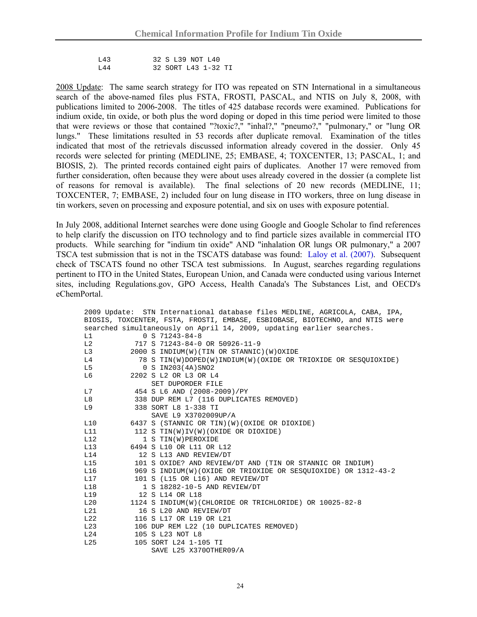L43 32 S L39 NOT L40 L44 32 SORT L43 1-32 TI

2008 Update: The same search strategy for ITO was repeated on STN International in a simultaneous search of the above-named files plus FSTA, FROSTI, PASCAL, and NTIS on July 8, 2008, with publications limited to 2006-2008. The titles of 425 database records were examined. Publications for indium oxide, tin oxide, or both plus the word doping or doped in this time period were limited to those that were reviews or those that contained "?toxic?," "inhal?," "pneumo?," "pulmonary," or "lung OR lungs." These limitations resulted in 53 records after duplicate removal. Examination of the titles indicated that most of the retrievals discussed information already covered in the dossier. Only 45 records were selected for printing (MEDLINE, 25; EMBASE, 4; TOXCENTER, 13; PASCAL, 1; and BIOSIS, 2). The printed records contained eight pairs of duplicates. Another 17 were removed from further consideration, often because they were about uses already covered in the dossier (a complete list of reasons for removal is available). The final selections of 20 new records (MEDLINE, 11; TOXCENTER, 7; EMBASE, 2) included four on lung disease in ITO workers, three on lung disease in tin workers, seven on processing and exposure potential, and six on uses with exposure potential.

In July 2008, additional Internet searches were done using Google and Google Scholar to find references to help clarify the discussion on ITO technology and to find particle sizes available in commercial ITO products. While searching for "indium tin oxide" AND "inhalation OR lungs OR pulmonary," a 2007 TSCA test submission that is not in the TSCATS database was found: [Laloy et al. \(2007\).](http://www.epa.gov/oppt/tsca8e/pubs/8ehq/2007/jun07/8ehq_0607_16847b_89070000363.pdf) Subsequent check of TSCATS found no other TSCA test submissions. In August, searches regarding regulations pertinent to ITO in the United States, European Union, and Canada were conducted using various Internet sites, including Regulations.gov, GPO Access, Health Canada's The Substances List, and OECD's eChemPortal.

```
2009 Update: STN International database files MEDLINE, AGRICOLA, CABA, IPA, 
BIOSIS, TOXCENTER, FSTA, FROSTI, EMBASE, ESBIOBASE, BIOTECHNO, and NTIS were 
searched simultaneously on April 14, 2009, updating earlier searches. 
L1 0 S 71243-84-8
L2 717 S 71243-84-0 OR 50926-11-9 
L3 2000 S INDIUM(W)(TIN OR STANNIC)(W)OXIDE 
L4 78 S TIN(W)DOPED(W)INDIUM(W)(OXIDE OR TRIOXIDE OR SESQUIOXIDE) 
L5 0 S IN203(4A)SNO2 
L6 2202 S L2 OR L3 OR L4 
               SET DUPORDER FILE 
L7 454 S L6 AND (2008-2009)/PY 
L8 338 DUP REM L7 (116 DUPLICATES REMOVED) 
L9 338 SORT L8 1-338 TI 
SAVE L9 X3702009UP/A<br>L10 6437 S (STANNIC OR TIN) (W
         L10 6437 S (STANNIC OR TIN)(W)(OXIDE OR DIOXIDE) 
L11 112 S TIN(W)IV(W)(OXIDE OR DIOXIDE)
L12 1 S TIN(W) PEROXIDE
L13 6494 S L10 OR L11 OR L12 
L14 12 S L13 AND REVIEW/DT 
L15 101 S OXIDE? AND REVIEW/DT AND (TIN OR STANNIC OR INDIUM) 
L16 969 S INDIUM(W)(OXIDE OR TRIOXIDE OR SESQUIOXIDE) OR 1312-43-2 
L17 101 S (L15 OR L16) AND REVIEW/DT 
L18 1 S 18282-10-5 AND REVIEW/DT 
L19 12 S L14 OR L18 
L20 1124 S INDIUM(W)(CHLORIDE OR TRICHLORIDE) OR 10025-82-8 
L21 16 S L20 AND REVIEW/DT
L22 116 S L17 OR L19 OR L21 
L23 106 DUP REM L22 (10 DUPLICATES REMOVED) 
L24 105 S L23 NOT L8 
L25 105 SORT L24 1-105 TI 
               SAVE L25 X370OTHER09/A
```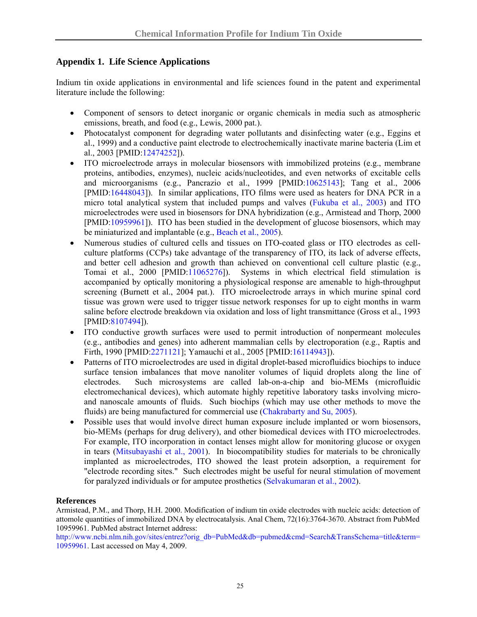## **Appendix 1. Life Science Applications**

Indium tin oxide applications in environmental and life sciences found in the patent and experimental literature include the following:

- Component of sensors to detect inorganic or organic chemicals in media such as atmospheric emissions, breath, and food (e.g., Lewis, 2000 pat.).
- Photocatalyst component for degrading water pollutants and disinfecting water (e.g., Eggins et al., 1999) and a conductive paint electrode to electrochemically inactivate marine bacteria (Lim et al., 2003 [PMID[:12474252](http://www.ncbi.nlm.nih.gov/sites/entrez?orig_db=PubMed&db=pubmed&cmd=Search&TransSchema=title&term=12474252)]).
- ITO microelectrode arrays in molecular biosensors with immobilized proteins (e.g., membrane proteins, antibodies, enzymes), nucleic acids/nucleotides, and even networks of excitable cells and microorganisms (e.g., Pancrazio et al., 1999 [PMID[:10625143](http://www.ncbi.nlm.nih.gov/sites/entrez?orig_db=PubMed&db=pubmed&cmd=Search&TransSchema=title&term=10625143)]; Tang et al., 2006 [PMID[:16448043](http://www.ncbi.nlm.nih.gov/sites/entrez?orig_db=PubMed&db=pubmed&cmd=Search&TransSchema=title&term=16448043)]). In similar applications, ITO films were used as heaters for DNA PCR in a micro total analytical system that included pumps and valves [\(Fukuba et al., 2003](http://www.chem.ualberta.ca/%7Emicrotas/Volume1/180-220.pdf)) and ITO microelectrodes were used in biosensors for DNA hybridization (e.g., Armistead and Thorp, 2000 [PMID[:10959961](http://www.ncbi.nlm.nih.gov/sites/entrez?orig_db=PubMed&db=pubmed&cmd=Search&TransSchema=title&term=10959961)]). ITO has been studied in the development of glucose biosensors, which may be miniaturized and implantable (e.g., [Beach et al., 2005\)](http://ieeexplore.ieee.org/xpl/absprintf.jsp?arnumber=1381799&page=FREE).
- Numerous studies of cultured cells and tissues on ITO-coated glass or ITO electrodes as cellculture platforms (CCPs) take advantage of the transparency of ITO, its lack of adverse effects, and better cell adhesion and growth than achieved on conventional cell culture plastic (e.g., Tomai et al., 2000 [PMID:[11065276\]](http://www.ncbi.nlm.nih.gov/sites/entrez?orig_db=PubMed&db=pubmed&cmd=Search&TransSchema=title&term=11065276)). Systems in which electrical field stimulation is accompanied by optically monitoring a physiological response are amenable to high-throughput screening (Burnett et al., 2004 pat.). ITO microelectrode arrays in which murine spinal cord tissue was grown were used to trigger tissue network responses for up to eight months in warm saline before electrode breakdown via oxidation and loss of light transmittance (Gross et al., 1993 [PMID[:8107494\]](http://www.ncbi.nlm.nih.gov/sites/entrez?orig_db=PubMed&db=pubmed&cmd=Search&TransSchema=title&term=8107494)).
- ITO conductive growth surfaces were used to permit introduction of nonpermeant molecules (e.g., antibodies and genes) into adherent mammalian cells by electroporation (e.g., Raptis and Firth, 1990 [PMID:[2271121](http://www.ncbi.nlm.nih.gov/sites/entrez?orig_db=PubMed&db=pubmed&cmd=Search&TransSchema=title&term=2271121)]; Yamauchi et al., 2005 [PMID:[16114943\]](http://www.ncbi.nlm.nih.gov/sites/entrez?orig_db=PubMed&db=pubmed&cmd=Search&TransSchema=title&term=16114943)).
- Patterns of ITO microelectrodes are used in digital droplet-based microfluidics biochips to induce surface tension imbalances that move nanoliter volumes of liquid droplets along the line of electrodes. Such microsystems are called lab-on-a-chip and bio-MEMs (microfluidic electromechanical devices), which automate highly repetitive laboratory tasks involving microand nanoscale amounts of fluids. Such biochips (which may use other methods to move the fluids) are being manufactured for commercial use [\(Chakrabarty and Su, 2005](http://www.ee.duke.edu/%7Ekrish/cr1113.pdf)).
- Possible uses that would involve direct human exposure include implanted or worn biosensors, bio-MEMs (perhaps for drug delivery), and other biomedical devices with ITO microelectrodes. For example, ITO incorporation in contact lenses might allow for monitoring glucose or oxygen in tears ([Mitsubayashi et al., 2001\)](http://wwwsoc.nii.ac.jp/jsac/analsci/ICAS2001/pdfs/0700/0773_4h08n.pdf). In biocompatibility studies for materials to be chronically implanted as microelectrodes, ITO showed the least protein adsorption, a requirement for "electrode recording sites." Such electrodes might be useful for neural stimulation of movement for paralyzed individuals or for amputee prosthetics [\(Selvakumaran et al., 2002\)](http://ieeexplore.ieee.org/xpl/absprintf.jsp?arnumber=1002326&page=FREE).

#### **References**

Armistead, P.M., and Thorp, H.H. 2000. Modification of indium tin oxide electrodes with nucleic acids: detection of attomole quantities of immobilized DNA by electrocatalysis. Anal Chem, 72(16):3764-3670. Abstract from PubMed 10959961. PubMed abstract Internet address:

[http://www.ncbi.nlm.nih.gov/sites/entrez?orig\\_db=PubMed&db=pubmed&cmd=Search&TransSchema=title&term=](http://www.ncbi.nlm.nih.gov/sites/entrez?orig_db=PubMed&db=pubmed&cmd=Search&TransSchema=title&term=10959961) [10959961](http://www.ncbi.nlm.nih.gov/sites/entrez?orig_db=PubMed&db=pubmed&cmd=Search&TransSchema=title&term=10959961). Last accessed on May 4, 2009.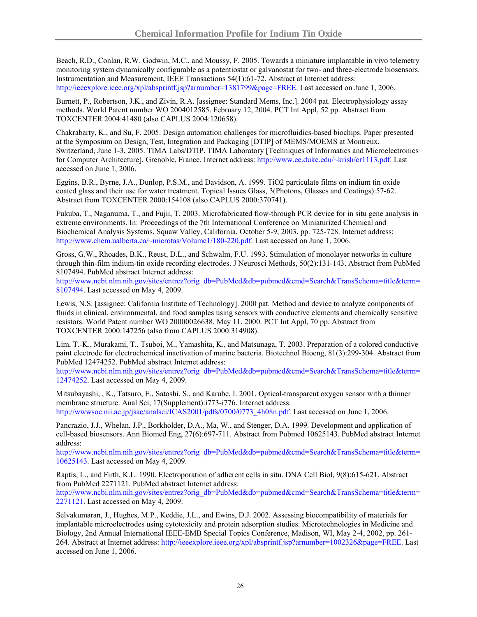Beach, R.D., Conlan, R.W. Godwin, M.C., and Moussy, F. 2005. Towards a miniature implantable in vivo telemetry monitoring system dynamically configurable as a potentiostat or galvanostat for two- and three-electrode biosensors. Instrumentation and Measurement, IEEE Transactions 54(1):61-72. Abstract at Internet address: <http://ieeexplore.ieee.org/xpl/absprintf.jsp?arnumber=1381799&page=FREE>. Last accessed on June 1, 2006.

Burnett, P., Robertson, J.K., and Zivin, R.A. [assignee: Standard Mems, Inc.]. 2004 pat. Electrophysiology assay methods. World Patent number WO 2004012585. February 12, 2004. PCT Int Appl, 52 pp. Abstract from TOXCENTER 2004:41480 (also CAPLUS 2004:120658).

Chakrabarty, K., and Su, F. 2005. Design automation challenges for microfluidics-based biochips. Paper presented at the Symposium on Design, Test, Integration and Packaging [DTIP] of MEMS/MOEMS at Montreux, Switzerland, June 1-3, 2005. TIMA Labs/DTIP. TIMA Laboratory [Techniques of Informatics and Microelectronics for Computer Architecture], Grenoble, France. Internet address: [http://www.ee.duke.edu/~krish/cr1113.pdf.](http://www.ee.duke.edu/%7Ekrish/cr1113.pdf) Last accessed on June 1, 2006.

Eggins, B.R., Byrne, J.A., Dunlop, P.S.M., and Davidson, A. 1999. TiO2 particulate films on indium tin oxide coated glass and their use for water treatment. Topical Issues Glass, 3(Photons, Glasses and Coatings):57-62. Abstract from TOXCENTER 2000:154108 (also CAPLUS 2000:370741).

Fukuba, T., Naganuma, T., and Fujii, T. 2003. Microfabricated flow-through PCR device for in situ gene analysis in extreme environments. In: Proceedings of the 7th International Conference on Miniaturized Chemical and Biochemical Analysis Systems, Squaw Valley, California, October 5-9, 2003, pp. 725-728. Internet address: [http://www.chem.ualberta.ca/~microtas/Volume1/180-220.pdf](http://www.chem.ualberta.ca/%7Emicrotas/Volume1/180-220.pdf). Last accessed on June 1, 2006.

Gross, G.W., Rhoades, B.K., Reust, D.L., and Schwalm, F.U. 1993. Stimulation of monolayer networks in culture through thin-film indium-tin oxide recording electrodes. J Neurosci Methods, 50(2):131-143. Abstract from PubMed 8107494. PubMed abstract Internet address:

[http://www.ncbi.nlm.nih.gov/sites/entrez?orig\\_db=PubMed&db=pubmed&cmd=Search&TransSchema=title&term=](http://www.ncbi.nlm.nih.gov/sites/entrez?orig_db=PubMed&db=pubmed&cmd=Search&TransSchema=title&term=8107494) [8107494.](http://www.ncbi.nlm.nih.gov/sites/entrez?orig_db=PubMed&db=pubmed&cmd=Search&TransSchema=title&term=8107494) Last accessed on May 4, 2009.

Lewis, N.S. [assignee: California Institute of Technology]. 2000 pat. Method and device to analyze components of fluids in clinical, environmental, and food samples using sensors with conductive elements and chemically sensitive resistors. World Patent number WO 20000026638. May 11, 2000. PCT Int Appl, 70 pp. Abstract from TOXCENTER 2000:147256 (also from CAPLUS 2000:314908).

Lim, T.-K., Murakami, T., Tsuboi, M., Yamashita, K., and Matsunaga, T. 2003. Preparation of a colored conductive paint electrode for electrochemical inactivation of marine bacteria. Biotechnol Bioeng, 81(3):299-304. Abstract from PubMed 12474252. PubMed abstract Internet address:

[http://www.ncbi.nlm.nih.gov/sites/entrez?orig\\_db=PubMed&db=pubmed&cmd=Search&TransSchema=title&term=](http://www.ncbi.nlm.nih.gov/sites/entrez?orig_db=PubMed&db=pubmed&cmd=Search&TransSchema=title&term=12474252) [12474252](http://www.ncbi.nlm.nih.gov/sites/entrez?orig_db=PubMed&db=pubmed&cmd=Search&TransSchema=title&term=12474252). Last accessed on May 4, 2009.

Mitsubayashi, , K., Tatsuro, E., Satoshi, S., and Karube, I. 2001. Optical-transparent oxygen sensor with a thinner membrane structure. Anal Sci, 17(Supplement):i773-i776. Internet address: http://www.soc.nii.ac.jp/jsac/analsci/ICAS2001/pdfs/0700/0773\_4h08n.pdf. Last accessed on June 1, 2006.

Pancrazio, J.J., Whelan, J.P., Borkholder, D.A., Ma, W., and Stenger, D.A. 1999. Development and application of cell-based biosensors. Ann Biomed Eng, 27(6):697-711. Abstract from Pubmed 10625143. PubMed abstract Internet address:

[http://www.ncbi.nlm.nih.gov/sites/entrez?orig\\_db=PubMed&db=pubmed&cmd=Search&TransSchema=title&term=](http://www.ncbi.nlm.nih.gov/sites/entrez?orig_db=PubMed&db=pubmed&cmd=Search&TransSchema=title&term=10625143) [10625143](http://www.ncbi.nlm.nih.gov/sites/entrez?orig_db=PubMed&db=pubmed&cmd=Search&TransSchema=title&term=10625143). Last accessed on May 4, 2009.

Raptis, L., and Firth, K.L. 1990. Electroporation of adherent cells in situ. DNA Cell Biol, 9(8):615-621. Abstract from PubMed 2271121. PubMed abstract Internet address:

[http://www.ncbi.nlm.nih.gov/sites/entrez?orig\\_db=PubMed&db=pubmed&cmd=Search&TransSchema=title&term=](http://www.ncbi.nlm.nih.gov/sites/entrez?orig_db=PubMed&db=pubmed&cmd=Search&TransSchema=title&term=2271121) [2271121.](http://www.ncbi.nlm.nih.gov/sites/entrez?orig_db=PubMed&db=pubmed&cmd=Search&TransSchema=title&term=2271121) Last accessed on May 4, 2009.

Selvakumaran, J., Hughes, M.P., Keddie, J.L., and Ewins, D.J. 2002. Assessing biocompatibility of materials for implantable microelectrodes using cytotoxicity and protein adsorption studies. Microtechnologies in Medicine and Biology, 2nd Annual International IEEE-EMB Special Topics Conference, Madison, WI, May 2-4, 2002, pp. 261- 264. Abstract at Internet address: <http://ieeexplore.ieee.org/xpl/absprintf.jsp?arnumber=1002326&page=FREE>. Last accessed on June 1, 2006.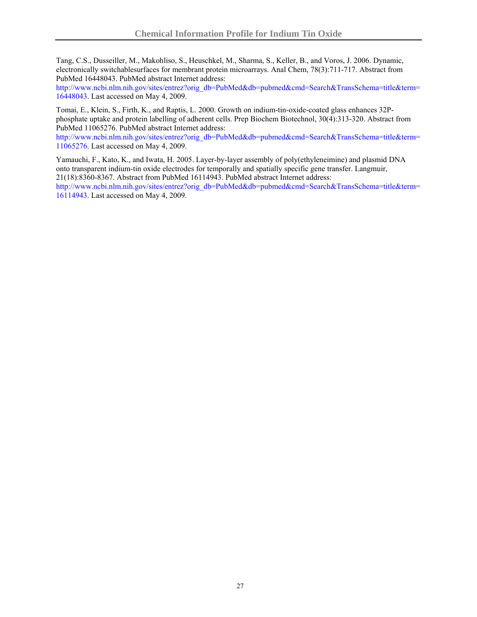Tang, C.S., Dusseiller, M., Makohliso, S., Heuschkel, M., Sharma, S., Keller, B., and Voros, J. 2006. Dynamic, electronically switchablesurfaces for membrant protein microarrays. Anal Chem, 78(3):711-717. Abstract from PubMed 16448043. PubMed abstract Internet address:

[http://www.ncbi.nlm.nih.gov/sites/entrez?orig\\_db=PubMed&db=pubmed&cmd=Search&TransSchema=title&term=](http://www.ncbi.nlm.nih.gov/sites/entrez?orig_db=PubMed&db=pubmed&cmd=Search&TransSchema=title&term=16448043) [16448043](http://www.ncbi.nlm.nih.gov/sites/entrez?orig_db=PubMed&db=pubmed&cmd=Search&TransSchema=title&term=16448043). Last accessed on May 4, 2009.

Tomai, E., Klein, S., Firth, K., and Raptis, L. 2000. Growth on indium-tin-oxide-coated glass enhances 32Pphosphate uptake and protein labelling of adherent cells. Prep Biochem Biotechnol, 30(4):313-320. Abstract from PubMed 11065276. PubMed abstract Internet address:

[http://www.ncbi.nlm.nih.gov/sites/entrez?orig\\_db=PubMed&db=pubmed&cmd=Search&TransSchema=title&term=](http://www.ncbi.nlm.nih.gov/sites/entrez?orig_db=PubMed&db=pubmed&cmd=Search&TransSchema=title&term=11065276) [11065276](http://www.ncbi.nlm.nih.gov/sites/entrez?orig_db=PubMed&db=pubmed&cmd=Search&TransSchema=title&term=11065276). Last accessed on May 4, 2009.

Yamauchi, F., Kato, K., and Iwata, H. 2005. Layer-by-layer assembly of poly(ethyleneimine) and plasmid DNA onto transparent indium-tin oxide electrodes for temporally and spatially specific gene transfer. Langmuir, 21(18):8360-8367. Abstract from PubMed 16114943. PubMed abstract Internet address:

[http://www.ncbi.nlm.nih.gov/sites/entrez?orig\\_db=PubMed&db=pubmed&cmd=Search&TransSchema=title&term=](http://www.ncbi.nlm.nih.gov/sites/entrez?orig_db=PubMed&db=pubmed&cmd=Search&TransSchema=title&term=16114943) [16114943](http://www.ncbi.nlm.nih.gov/sites/entrez?orig_db=PubMed&db=pubmed&cmd=Search&TransSchema=title&term=16114943). Last accessed on May 4, 2009.